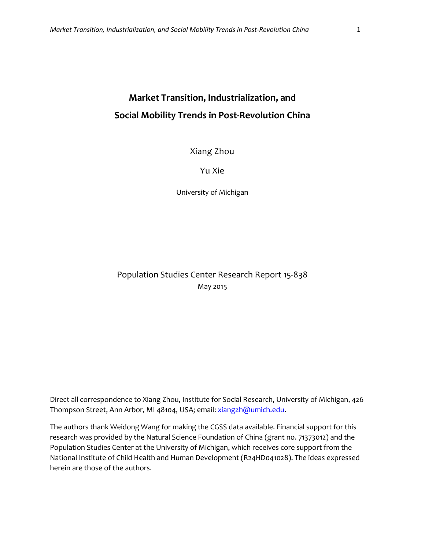# **Market Transition, Industrialization, and Social Mobility Trends in Post-Revolution China**

Xiang Zhou

Yu Xie

University of Michigan

Population Studies Center Research Report 15-838 May 2015

Direct all correspondence to Xiang Zhou, Institute for Social Research, University of Michigan, 426 Thompson Street, Ann Arbor, MI 48104, USA; email[: xiangzh@umich.edu.](mailto:xiangzh@umich.edu)

The authors thank Weidong Wang for making the CGSS data available. Financial support for this research was provided by the Natural Science Foundation of China (grant no. 71373012) and the Population Studies Center at the University of Michigan, which receives core support from the National Institute of Child Health and Human Development (R24HD041028). The ideas expressed herein are those of the authors.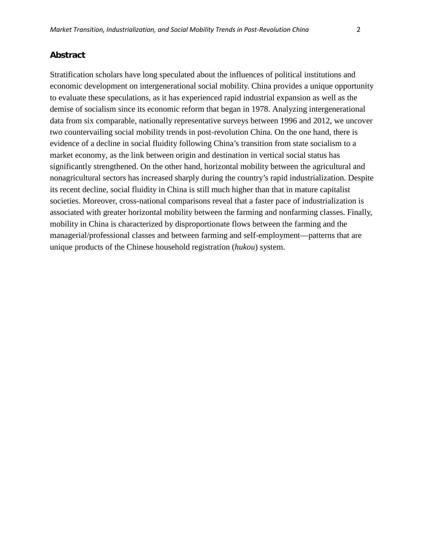## **Abstract**

Stratification scholars have long speculated about the influences of political institutions and economic development on intergenerational social mobility. China provides a unique opportunity to evaluate these speculations, as it has experienced rapid industrial expansion as well as the demise of socialism since its economic reform that began in 1978. Analyzing intergenerational data from six comparable, nationally representative surveys between 1996 and 2012, we uncover two countervailing social mobility trends in post-revolution China. On the one hand, there is evidence of a decline in social fluidity following China's transition from state socialism to a market economy, as the link between origin and destination in vertical social status has significantly strengthened. On the other hand, horizontal mobility between the agricultural and nonagricultural sectors has increased sharply during the country's rapid industrialization. Despite its recent decline, social fluidity in China is still much higher than that in mature capitalist societies. Moreover, cross-national comparisons reveal that a faster pace of industrialization is associated with greater horizontal mobility between the farming and nonfarming classes. Finally, mobility in China is characterized by disproportionate flows between the farming and the managerial/professional classes and between farming and self-employment—patterns that are unique products of the Chinese household registration (*hukou*) system.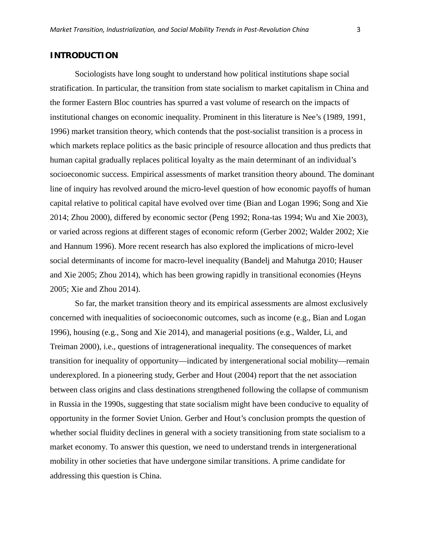# **INTRODUCTION**

Sociologists have long sought to understand how political institutions shape social stratification. In particular, the transition from state socialism to market capitalism in China and the former Eastern Bloc countries has spurred a vast volume of research on the impacts of institutional changes on economic inequality. Prominent in this literature is Nee's (1989, 1991, 1996) market transition theory, which contends that the post-socialist transition is a process in which markets replace politics as the basic principle of resource allocation and thus predicts that human capital gradually replaces political loyalty as the main determinant of an individual's socioeconomic success. Empirical assessments of market transition theory abound. The dominant line of inquiry has revolved around the micro-level question of how economic payoffs of human capital relative to political capital have evolved over time (Bian and Logan 1996; Song and Xie 2014; Zhou 2000), differed by economic sector (Peng 1992; Rona-tas 1994; Wu and Xie 2003), or varied across regions at different stages of economic reform (Gerber 2002; Walder 2002; Xie and Hannum 1996). More recent research has also explored the implications of micro-level social determinants of income for macro-level inequality (Bandelj and Mahutga 2010; Hauser and Xie 2005; Zhou 2014), which has been growing rapidly in transitional economies (Heyns 2005; Xie and Zhou 2014).

So far, the market transition theory and its empirical assessments are almost exclusively concerned with inequalities of socioeconomic outcomes, such as income (e.g., Bian and Logan 1996), housing (e.g., Song and Xie 2014), and managerial positions (e.g., Walder, Li, and Treiman 2000), i.e., questions of intragenerational inequality. The consequences of market transition for inequality of opportunity—indicated by intergenerational social mobility—remain underexplored. In a pioneering study, Gerber and Hout (2004) report that the net association between class origins and class destinations strengthened following the collapse of communism in Russia in the 1990s, suggesting that state socialism might have been conducive to equality of opportunity in the former Soviet Union. Gerber and Hout's conclusion prompts the question of whether social fluidity declines in general with a society transitioning from state socialism to a market economy. To answer this question, we need to understand trends in intergenerational mobility in other societies that have undergone similar transitions. A prime candidate for addressing this question is China.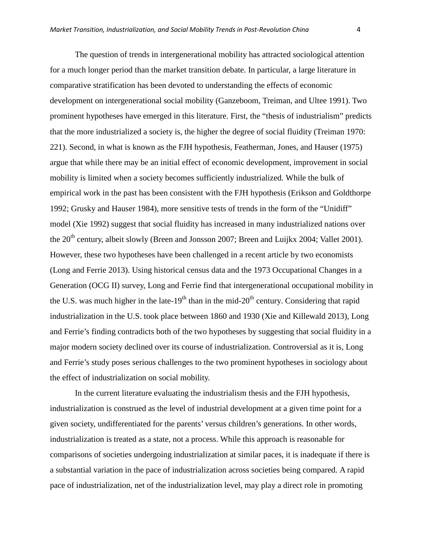The question of trends in intergenerational mobility has attracted sociological attention for a much longer period than the market transition debate. In particular, a large literature in comparative stratification has been devoted to understanding the effects of economic development on intergenerational social mobility (Ganzeboom, Treiman, and Ultee 1991). Two prominent hypotheses have emerged in this literature. First, the "thesis of industrialism" predicts that the more industrialized a society is, the higher the degree of social fluidity (Treiman 1970: 221). Second, in what is known as the FJH hypothesis, Featherman, Jones, and Hauser (1975) argue that while there may be an initial effect of economic development, improvement in social mobility is limited when a society becomes sufficiently industrialized. While the bulk of empirical work in the past has been consistent with the FJH hypothesis (Erikson and Goldthorpe 1992; Grusky and Hauser 1984), more sensitive tests of trends in the form of the "Unidiff" model (Xie 1992) suggest that social fluidity has increased in many industrialized nations over the 20<sup>th</sup> century, albeit slowly (Breen and Jonsson 2007; Breen and Luijkx 2004; Vallet 2001). However, these two hypotheses have been challenged in a recent article by two economists (Long and Ferrie 2013). Using historical census data and the 1973 Occupational Changes in a Generation (OCG II) survey, Long and Ferrie find that intergenerational occupational mobility in the U.S. was much higher in the late-19<sup>th</sup> than in the mid-20<sup>th</sup> century. Considering that rapid industrialization in the U.S. took place between 1860 and 1930 (Xie and Killewald 2013), Long and Ferrie's finding contradicts both of the two hypotheses by suggesting that social fluidity in a major modern society declined over its course of industrialization. Controversial as it is, Long and Ferrie's study poses serious challenges to the two prominent hypotheses in sociology about the effect of industrialization on social mobility.

In the current literature evaluating the industrialism thesis and the FJH hypothesis, industrialization is construed as the level of industrial development at a given time point for a given society, undifferentiated for the parents' versus children's generations. In other words, industrialization is treated as a state, not a process. While this approach is reasonable for comparisons of societies undergoing industrialization at similar paces, it is inadequate if there is a substantial variation in the pace of industrialization across societies being compared. A rapid pace of industrialization, net of the industrialization level, may play a direct role in promoting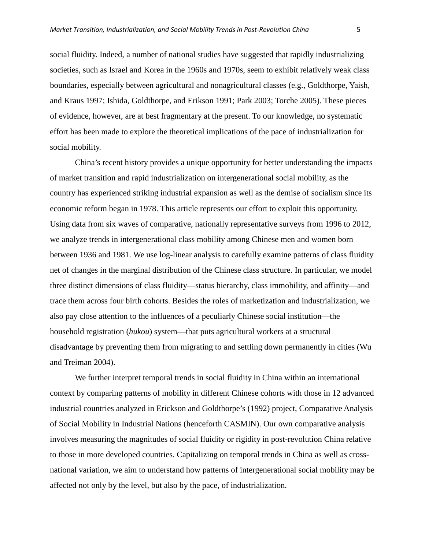social fluidity. Indeed, a number of national studies have suggested that rapidly industrializing societies, such as Israel and Korea in the 1960s and 1970s, seem to exhibit relatively weak class boundaries, especially between agricultural and nonagricultural classes (e.g., Goldthorpe, Yaish, and Kraus 1997; Ishida, Goldthorpe, and Erikson 1991; Park 2003; Torche 2005). These pieces of evidence, however, are at best fragmentary at the present. To our knowledge, no systematic effort has been made to explore the theoretical implications of the pace of industrialization for social mobility.

China's recent history provides a unique opportunity for better understanding the impacts of market transition and rapid industrialization on intergenerational social mobility, as the country has experienced striking industrial expansion as well as the demise of socialism since its economic reform began in 1978. This article represents our effort to exploit this opportunity. Using data from six waves of comparative, nationally representative surveys from 1996 to 2012, we analyze trends in intergenerational class mobility among Chinese men and women born between 1936 and 1981. We use log-linear analysis to carefully examine patterns of class fluidity net of changes in the marginal distribution of the Chinese class structure. In particular, we model three distinct dimensions of class fluidity—status hierarchy, class immobility, and affinity—and trace them across four birth cohorts. Besides the roles of marketization and industrialization, we also pay close attention to the influences of a peculiarly Chinese social institution—the household registration (*hukou*) system—that puts agricultural workers at a structural disadvantage by preventing them from migrating to and settling down permanently in cities (Wu and Treiman 2004).

We further interpret temporal trends in social fluidity in China within an international context by comparing patterns of mobility in different Chinese cohorts with those in 12 advanced industrial countries analyzed in Erickson and Goldthorpe's (1992) project, Comparative Analysis of Social Mobility in Industrial Nations (henceforth CASMIN). Our own comparative analysis involves measuring the magnitudes of social fluidity or rigidity in post-revolution China relative to those in more developed countries. Capitalizing on temporal trends in China as well as crossnational variation, we aim to understand how patterns of intergenerational social mobility may be affected not only by the level, but also by the pace, of industrialization.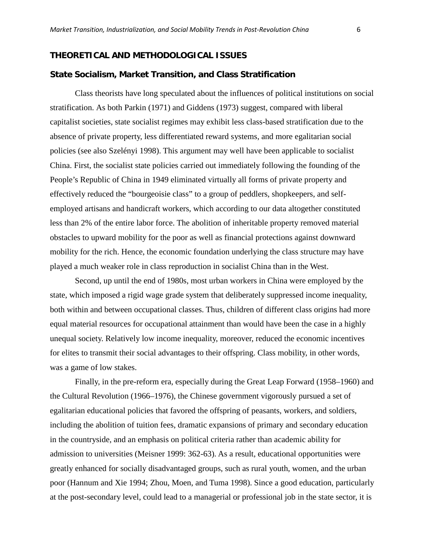# **THEORETICAL AND METHODOLOGICAL ISSUES**

#### **State Socialism, Market Transition, and Class Stratification**

Class theorists have long speculated about the influences of political institutions on social stratification. As both Parkin (1971) and Giddens (1973) suggest, compared with liberal capitalist societies, state socialist regimes may exhibit less class-based stratification due to the absence of private property, less differentiated reward systems, and more egalitarian social policies (see also Szelényi 1998). This argument may well have been applicable to socialist China. First, the socialist state policies carried out immediately following the founding of the People's Republic of China in 1949 eliminated virtually all forms of private property and effectively reduced the "bourgeoisie class" to a group of peddlers, shopkeepers, and selfemployed artisans and handicraft workers, which according to our data altogether constituted less than 2% of the entire labor force. The abolition of inheritable property removed material obstacles to upward mobility for the poor as well as financial protections against downward mobility for the rich. Hence, the economic foundation underlying the class structure may have played a much weaker role in class reproduction in socialist China than in the West.

Second, up until the end of 1980s, most urban workers in China were employed by the state, which imposed a rigid wage grade system that deliberately suppressed income inequality, both within and between occupational classes. Thus, children of different class origins had more equal material resources for occupational attainment than would have been the case in a highly unequal society. Relatively low income inequality, moreover, reduced the economic incentives for elites to transmit their social advantages to their offspring. Class mobility, in other words, was a game of low stakes.

Finally, in the pre-reform era, especially during the Great Leap Forward (1958–1960) and the Cultural Revolution (1966–1976), the Chinese government vigorously pursued a set of egalitarian educational policies that favored the offspring of peasants, workers, and soldiers, including the abolition of tuition fees, dramatic expansions of primary and secondary education in the countryside, and an emphasis on political criteria rather than academic ability for admission to universities (Meisner 1999: 362-63). As a result, educational opportunities were greatly enhanced for socially disadvantaged groups, such as rural youth, women, and the urban poor (Hannum and Xie 1994; Zhou, Moen, and Tuma 1998). Since a good education, particularly at the post-secondary level, could lead to a managerial or professional job in the state sector, it is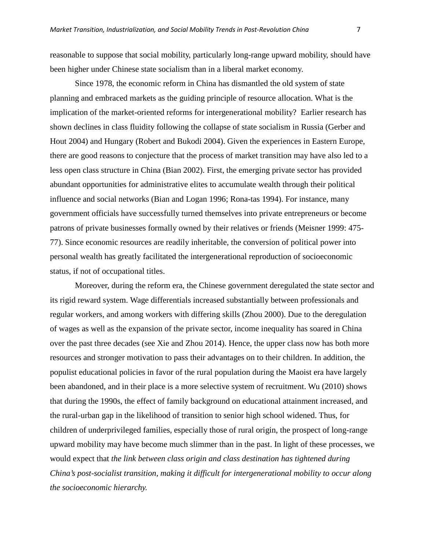reasonable to suppose that social mobility, particularly long-range upward mobility, should have been higher under Chinese state socialism than in a liberal market economy.

Since 1978, the economic reform in China has dismantled the old system of state planning and embraced markets as the guiding principle of resource allocation. What is the implication of the market-oriented reforms for intergenerational mobility? Earlier research has shown declines in class fluidity following the collapse of state socialism in Russia (Gerber and Hout 2004) and Hungary (Robert and Bukodi 2004). Given the experiences in Eastern Europe, there are good reasons to conjecture that the process of market transition may have also led to a less open class structure in China (Bian 2002). First, the emerging private sector has provided abundant opportunities for administrative elites to accumulate wealth through their political influence and social networks (Bian and Logan 1996; Rona-tas 1994). For instance, many government officials have successfully turned themselves into private entrepreneurs or become patrons of private businesses formally owned by their relatives or friends (Meisner 1999: 475- 77). Since economic resources are readily inheritable, the conversion of political power into personal wealth has greatly facilitated the intergenerational reproduction of socioeconomic status, if not of occupational titles.

Moreover, during the reform era, the Chinese government deregulated the state sector and its rigid reward system. Wage differentials increased substantially between professionals and regular workers, and among workers with differing skills (Zhou 2000). Due to the deregulation of wages as well as the expansion of the private sector, income inequality has soared in China over the past three decades (see Xie and Zhou 2014). Hence, the upper class now has both more resources and stronger motivation to pass their advantages on to their children. In addition, the populist educational policies in favor of the rural population during the Maoist era have largely been abandoned, and in their place is a more selective system of recruitment. Wu (2010) shows that during the 1990s, the effect of family background on educational attainment increased, and the rural-urban gap in the likelihood of transition to senior high school widened. Thus, for children of underprivileged families, especially those of rural origin, the prospect of long-range upward mobility may have become much slimmer than in the past. In light of these processes, we would expect that *the link between class origin and class destination has tightened during China's post-socialist transition, making it difficult for intergenerational mobility to occur along the socioeconomic hierarchy.*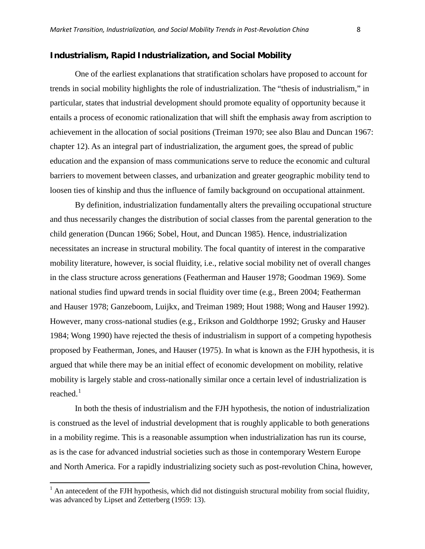## **Industrialism, Rapid Industrialization, and Social Mobility**

One of the earliest explanations that stratification scholars have proposed to account for trends in social mobility highlights the role of industrialization. The "thesis of industrialism," in particular, states that industrial development should promote equality of opportunity because it entails a process of economic rationalization that will shift the emphasis away from ascription to achievement in the allocation of social positions (Treiman 1970; see also Blau and Duncan 1967: chapter 12). As an integral part of industrialization, the argument goes, the spread of public education and the expansion of mass communications serve to reduce the economic and cultural barriers to movement between classes, and urbanization and greater geographic mobility tend to loosen ties of kinship and thus the influence of family background on occupational attainment.

By definition, industrialization fundamentally alters the prevailing occupational structure and thus necessarily changes the distribution of social classes from the parental generation to the child generation (Duncan 1966; Sobel, Hout, and Duncan 1985). Hence, industrialization necessitates an increase in structural mobility. The focal quantity of interest in the comparative mobility literature, however, is social fluidity, i.e., relative social mobility net of overall changes in the class structure across generations (Featherman and Hauser 1978; Goodman 1969). Some national studies find upward trends in social fluidity over time (e.g., Breen 2004; Featherman and Hauser 1978; Ganzeboom, Luijkx, and Treiman 1989; Hout 1988; Wong and Hauser 1992). However, many cross-national studies (e.g., Erikson and Goldthorpe 1992; Grusky and Hauser 1984; Wong 1990) have rejected the thesis of industrialism in support of a competing hypothesis proposed by Featherman, Jones, and Hauser (1975). In what is known as the FJH hypothesis, it is argued that while there may be an initial effect of economic development on mobility, relative mobility is largely stable and cross-nationally similar once a certain level of industrialization is reached. $1$ 

In both the thesis of industrialism and the FJH hypothesis, the notion of industrialization is construed as the level of industrial development that is roughly applicable to both generations in a mobility regime. This is a reasonable assumption when industrialization has run its course, as is the case for advanced industrial societies such as those in contemporary Western Europe and North America. For a rapidly industrializing society such as post-revolution China, however,

 $\overline{\phantom{a}}$ 

<span id="page-7-0"></span> $<sup>1</sup>$  An antecedent of the FJH hypothesis, which did not distinguish structural mobility from social fluidity,</sup> was advanced by Lipset and Zetterberg (1959: 13).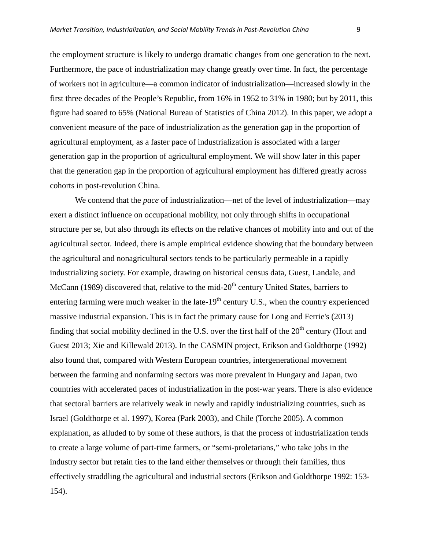the employment structure is likely to undergo dramatic changes from one generation to the next. Furthermore, the pace of industrialization may change greatly over time. In fact, the percentage of workers not in agriculture—a common indicator of industrialization—increased slowly in the first three decades of the People's Republic, from 16% in 1952 to 31% in 1980; but by 2011, this figure had soared to 65% (National Bureau of Statistics of China 2012). In this paper, we adopt a convenient measure of the pace of industrialization as the generation gap in the proportion of agricultural employment, as a faster pace of industrialization is associated with a larger generation gap in the proportion of agricultural employment. We will show later in this paper that the generation gap in the proportion of agricultural employment has differed greatly across cohorts in post-revolution China.

We contend that the *pace* of industrialization—net of the level of industrialization—may exert a distinct influence on occupational mobility, not only through shifts in occupational structure per se, but also through its effects on the relative chances of mobility into and out of the agricultural sector. Indeed, there is ample empirical evidence showing that the boundary between the agricultural and nonagricultural sectors tends to be particularly permeable in a rapidly industrializing society. For example, drawing on historical census data, Guest, Landale, and McCann (1989) discovered that, relative to the mid- $20<sup>th</sup>$  century United States, barriers to entering farming were much weaker in the late- $19<sup>th</sup>$  century U.S., when the country experienced massive industrial expansion. This is in fact the primary cause for Long and Ferrie's (2013) finding that social mobility declined in the U.S. over the first half of the  $20<sup>th</sup>$  century (Hout and Guest 2013; Xie and Killewald 2013). In the CASMIN project, Erikson and Goldthorpe (1992) also found that, compared with Western European countries, intergenerational movement between the farming and nonfarming sectors was more prevalent in Hungary and Japan, two countries with accelerated paces of industrialization in the post-war years. There is also evidence that sectoral barriers are relatively weak in newly and rapidly industrializing countries, such as Israel (Goldthorpe et al. 1997), Korea (Park 2003), and Chile (Torche 2005). A common explanation, as alluded to by some of these authors, is that the process of industrialization tends to create a large volume of part-time farmers, or "semi-proletarians," who take jobs in the industry sector but retain ties to the land either themselves or through their families, thus effectively straddling the agricultural and industrial sectors (Erikson and Goldthorpe 1992: 153- 154).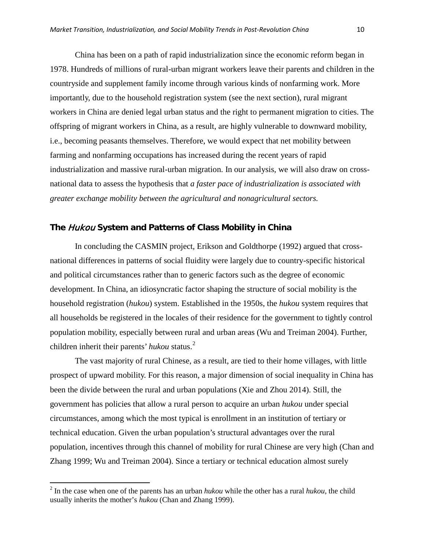China has been on a path of rapid industrialization since the economic reform began in 1978. Hundreds of millions of rural-urban migrant workers leave their parents and children in the countryside and supplement family income through various kinds of nonfarming work. More importantly, due to the household registration system (see the next section), rural migrant workers in China are denied legal urban status and the right to permanent migration to cities. The offspring of migrant workers in China, as a result, are highly vulnerable to downward mobility, i.e., becoming peasants themselves. Therefore, we would expect that net mobility between farming and nonfarming occupations has increased during the recent years of rapid industrialization and massive rural-urban migration. In our analysis, we will also draw on crossnational data to assess the hypothesis that *a faster pace of industrialization is associated with greater exchange mobility between the agricultural and nonagricultural sectors.*

## **The** Hukou **System and Patterns of Class Mobility in China**

In concluding the CASMIN project, Erikson and Goldthorpe (1992) argued that crossnational differences in patterns of social fluidity were largely due to country-specific historical and political circumstances rather than to generic factors such as the degree of economic development. In China, an idiosyncratic factor shaping the structure of social mobility is the household registration (*hukou*) system. Established in the 1950s, the *hukou* system requires that all households be registered in the locales of their residence for the government to tightly control population mobility, especially between rural and urban areas (Wu and Treiman 2004). Further, children inherit their parents' *hukou* status.<sup>[2](#page-9-0)</sup>

The vast majority of rural Chinese, as a result, are tied to their home villages, with little prospect of upward mobility. For this reason, a major dimension of social inequality in China has been the divide between the rural and urban populations (Xie and Zhou 2014). Still, the government has policies that allow a rural person to acquire an urban *hukou* under special circumstances, among which the most typical is enrollment in an institution of tertiary or technical education. Given the urban population's structural advantages over the rural population, incentives through this channel of mobility for rural Chinese are very high (Chan and Zhang 1999; Wu and Treiman 2004). Since a tertiary or technical education almost surely

 $\overline{\phantom{a}}$ 

<span id="page-9-0"></span><sup>2</sup> In the case when one of the parents has an urban *hukou* while the other has a rural *hukou*, the child usually inherits the mother's *hukou* (Chan and Zhang 1999).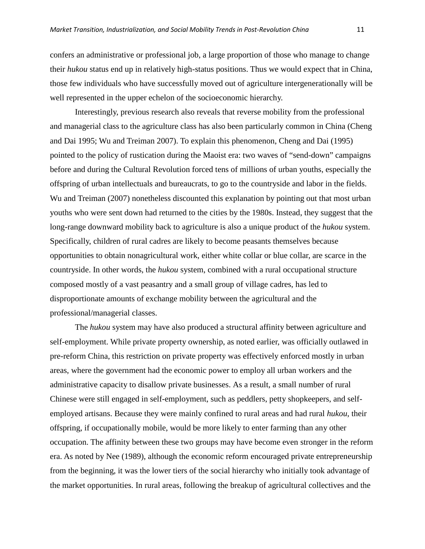confers an administrative or professional job, a large proportion of those who manage to change their *hukou* status end up in relatively high-status positions. Thus we would expect that in China, those few individuals who have successfully moved out of agriculture intergenerationally will be well represented in the upper echelon of the socioeconomic hierarchy.

Interestingly, previous research also reveals that reverse mobility from the professional and managerial class to the agriculture class has also been particularly common in China (Cheng and Dai 1995; Wu and Treiman 2007). To explain this phenomenon, Cheng and Dai (1995) pointed to the policy of rustication during the Maoist era: two waves of "send-down" campaigns before and during the Cultural Revolution forced tens of millions of urban youths, especially the offspring of urban intellectuals and bureaucrats, to go to the countryside and labor in the fields. Wu and Treiman (2007) nonetheless discounted this explanation by pointing out that most urban youths who were sent down had returned to the cities by the 1980s. Instead, they suggest that the long-range downward mobility back to agriculture is also a unique product of the *hukou* system. Specifically, children of rural cadres are likely to become peasants themselves because opportunities to obtain nonagricultural work, either white collar or blue collar, are scarce in the countryside. In other words, the *hukou* system, combined with a rural occupational structure composed mostly of a vast peasantry and a small group of village cadres, has led to disproportionate amounts of exchange mobility between the agricultural and the professional/managerial classes.

The *hukou* system may have also produced a structural affinity between agriculture and self-employment. While private property ownership, as noted earlier, was officially outlawed in pre-reform China, this restriction on private property was effectively enforced mostly in urban areas, where the government had the economic power to employ all urban workers and the administrative capacity to disallow private businesses. As a result, a small number of rural Chinese were still engaged in self-employment, such as peddlers, petty shopkeepers, and selfemployed artisans. Because they were mainly confined to rural areas and had rural *hukou*, their offspring, if occupationally mobile, would be more likely to enter farming than any other occupation. The affinity between these two groups may have become even stronger in the reform era. As noted by Nee (1989), although the economic reform encouraged private entrepreneurship from the beginning, it was the lower tiers of the social hierarchy who initially took advantage of the market opportunities. In rural areas, following the breakup of agricultural collectives and the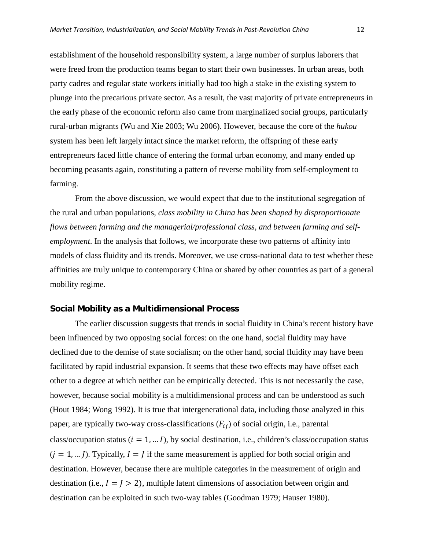establishment of the household responsibility system, a large number of surplus laborers that were freed from the production teams began to start their own businesses. In urban areas, both party cadres and regular state workers initially had too high a stake in the existing system to plunge into the precarious private sector. As a result, the vast majority of private entrepreneurs in the early phase of the economic reform also came from marginalized social groups, particularly rural-urban migrants (Wu and Xie 2003; Wu 2006). However, because the core of the *hukou* system has been left largely intact since the market reform, the offspring of these early entrepreneurs faced little chance of entering the formal urban economy, and many ended up becoming peasants again, constituting a pattern of reverse mobility from self-employment to farming.

From the above discussion, we would expect that due to the institutional segregation of the rural and urban populations, *class mobility in China has been shaped by disproportionate flows between farming and the managerial/professional class, and between farming and selfemployment*. In the analysis that follows, we incorporate these two patterns of affinity into models of class fluidity and its trends. Moreover, we use cross-national data to test whether these affinities are truly unique to contemporary China or shared by other countries as part of a general mobility regime.

#### **Social Mobility as a Multidimensional Process**

The earlier discussion suggests that trends in social fluidity in China's recent history have been influenced by two opposing social forces: on the one hand, social fluidity may have declined due to the demise of state socialism; on the other hand, social fluidity may have been facilitated by rapid industrial expansion. It seems that these two effects may have offset each other to a degree at which neither can be empirically detected. This is not necessarily the case, however, because social mobility is a multidimensional process and can be understood as such (Hout 1984; Wong 1992). It is true that intergenerational data, including those analyzed in this paper, are typically two-way cross-classifications  $(F_{ij})$  of social origin, i.e., parental class/occupation status ( $i = 1, ... I$ ), by social destination, i.e., children's class/occupation status  $(j = 1, \ldots)$ . Typically,  $I = J$  if the same measurement is applied for both social origin and destination. However, because there are multiple categories in the measurement of origin and destination (i.e.,  $I = J > 2$ ), multiple latent dimensions of association between origin and destination can be exploited in such two-way tables (Goodman 1979; Hauser 1980).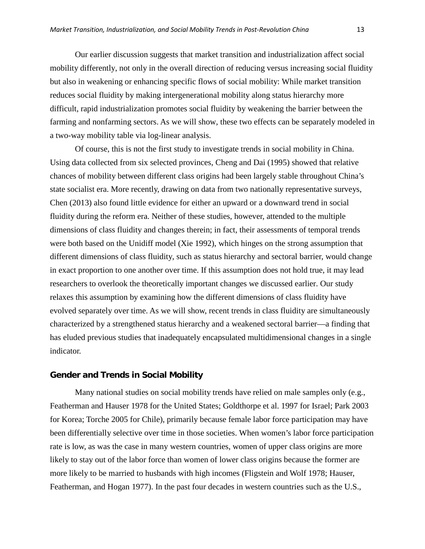Our earlier discussion suggests that market transition and industrialization affect social mobility differently, not only in the overall direction of reducing versus increasing social fluidity but also in weakening or enhancing specific flows of social mobility: While market transition reduces social fluidity by making intergenerational mobility along status hierarchy more difficult, rapid industrialization promotes social fluidity by weakening the barrier between the farming and nonfarming sectors. As we will show, these two effects can be separately modeled in a two-way mobility table via log-linear analysis.

Of course, this is not the first study to investigate trends in social mobility in China. Using data collected from six selected provinces, Cheng and Dai (1995) showed that relative chances of mobility between different class origins had been largely stable throughout China's state socialist era. More recently, drawing on data from two nationally representative surveys, Chen (2013) also found little evidence for either an upward or a downward trend in social fluidity during the reform era. Neither of these studies, however, attended to the multiple dimensions of class fluidity and changes therein; in fact, their assessments of temporal trends were both based on the Unidiff model (Xie 1992), which hinges on the strong assumption that different dimensions of class fluidity, such as status hierarchy and sectoral barrier, would change in exact proportion to one another over time. If this assumption does not hold true, it may lead researchers to overlook the theoretically important changes we discussed earlier. Our study relaxes this assumption by examining how the different dimensions of class fluidity have evolved separately over time. As we will show, recent trends in class fluidity are simultaneously characterized by a strengthened status hierarchy and a weakened sectoral barrier—a finding that has eluded previous studies that inadequately encapsulated multidimensional changes in a single indicator.

## **Gender and Trends in Social Mobility**

Many national studies on social mobility trends have relied on male samples only (e.g., Featherman and Hauser 1978 for the United States; Goldthorpe et al. 1997 for Israel; Park 2003 for Korea; Torche 2005 for Chile), primarily because female labor force participation may have been differentially selective over time in those societies. When women's labor force participation rate is low, as was the case in many western countries, women of upper class origins are more likely to stay out of the labor force than women of lower class origins because the former are more likely to be married to husbands with high incomes (Fligstein and Wolf 1978; Hauser, Featherman, and Hogan 1977). In the past four decades in western countries such as the U.S.,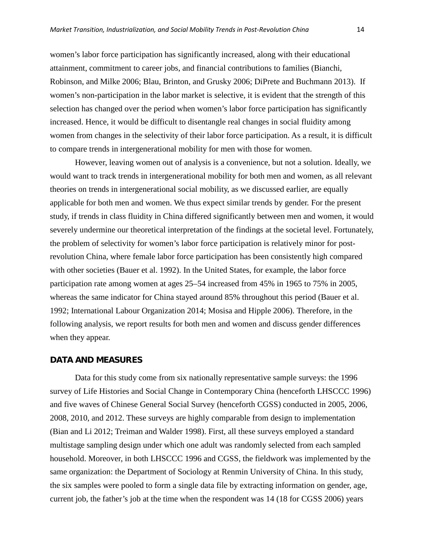women's labor force participation has significantly increased, along with their educational attainment, commitment to career jobs, and financial contributions to families (Bianchi, Robinson, and Milke 2006; Blau, Brinton, and Grusky 2006; DiPrete and Buchmann 2013). If women's non-participation in the labor market is selective, it is evident that the strength of this selection has changed over the period when women's labor force participation has significantly increased. Hence, it would be difficult to disentangle real changes in social fluidity among women from changes in the selectivity of their labor force participation. As a result, it is difficult to compare trends in intergenerational mobility for men with those for women.

However, leaving women out of analysis is a convenience, but not a solution. Ideally, we would want to track trends in intergenerational mobility for both men and women, as all relevant theories on trends in intergenerational social mobility, as we discussed earlier, are equally applicable for both men and women. We thus expect similar trends by gender. For the present study, if trends in class fluidity in China differed significantly between men and women, it would severely undermine our theoretical interpretation of the findings at the societal level. Fortunately, the problem of selectivity for women's labor force participation is relatively minor for postrevolution China, where female labor force participation has been consistently high compared with other societies (Bauer et al. 1992). In the United States, for example, the labor force participation rate among women at ages 25–54 increased from 45% in 1965 to 75% in 2005, whereas the same indicator for China stayed around 85% throughout this period (Bauer et al. 1992; International Labour Organization 2014; Mosisa and Hipple 2006). Therefore, in the following analysis, we report results for both men and women and discuss gender differences when they appear.

#### **DATA AND MEASURES**

Data for this study come from six nationally representative sample surveys: the 1996 survey of Life Histories and Social Change in Contemporary China (henceforth LHSCCC 1996) and five waves of Chinese General Social Survey (henceforth CGSS) conducted in 2005, 2006, 2008, 2010, and 2012. These surveys are highly comparable from design to implementation (Bian and Li 2012; Treiman and Walder 1998). First, all these surveys employed a standard multistage sampling design under which one adult was randomly selected from each sampled household. Moreover, in both LHSCCC 1996 and CGSS, the fieldwork was implemented by the same organization: the Department of Sociology at Renmin University of China. In this study, the six samples were pooled to form a single data file by extracting information on gender, age, current job, the father's job at the time when the respondent was 14 (18 for CGSS 2006) years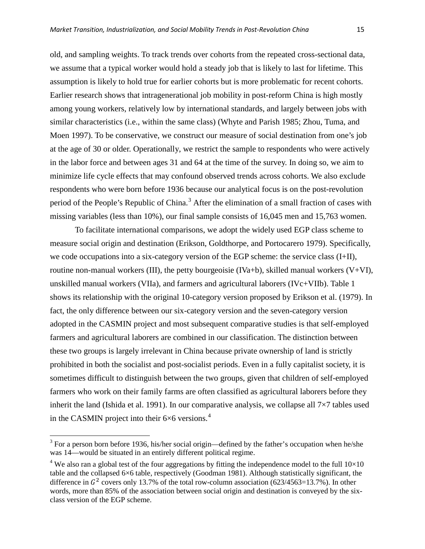old, and sampling weights. To track trends over cohorts from the repeated cross-sectional data, we assume that a typical worker would hold a steady job that is likely to last for lifetime. This assumption is likely to hold true for earlier cohorts but is more problematic for recent cohorts. Earlier research shows that intragenerational job mobility in post-reform China is high mostly among young workers, relatively low by international standards, and largely between jobs with similar characteristics (i.e., within the same class) (Whyte and Parish 1985; Zhou, Tuma, and Moen 1997). To be conservative, we construct our measure of social destination from one's job at the age of 30 or older. Operationally, we restrict the sample to respondents who were actively in the labor force and between ages 31 and 64 at the time of the survey. In doing so, we aim to minimize life cycle effects that may confound observed trends across cohorts. We also exclude respondents who were born before 1936 because our analytical focus is on the post-revolution period of the People's Republic of China.<sup>[3](#page-14-0)</sup> After the elimination of a small fraction of cases with missing variables (less than 10%), our final sample consists of 16,045 men and 15,763 women.

To facilitate international comparisons, we adopt the widely used EGP class scheme to measure social origin and destination (Erikson, Goldthorpe, and Portocarero 1979). Specifically, we code occupations into a six-category version of the EGP scheme: the service class (I+II), routine non-manual workers (III), the petty bourgeoisie (IVa+b), skilled manual workers  $(V+VI)$ , unskilled manual workers (VIIa), and farmers and agricultural laborers (IVc+VIIb). Table 1 shows its relationship with the original 10-category version proposed by Erikson et al. (1979). In fact, the only difference between our six-category version and the seven-category version adopted in the CASMIN project and most subsequent comparative studies is that self-employed farmers and agricultural laborers are combined in our classification. The distinction between these two groups is largely irrelevant in China because private ownership of land is strictly prohibited in both the socialist and post-socialist periods. Even in a fully capitalist society, it is sometimes difficult to distinguish between the two groups, given that children of self-employed farmers who work on their family farms are often classified as agricultural laborers before they inherit the land (Ishida et al. 1991). In our comparative analysis, we collapse all  $7\times7$  tables used in the CASMIN project into their  $6\times6$  versions.<sup>[4](#page-14-1)</sup>

 $\overline{\phantom{a}}$ 

<span id="page-14-0"></span> $3$  For a person born before 1936, his/her social origin—defined by the father's occupation when he/she was 14—would be situated in an entirely different political regime.

<span id="page-14-1"></span><sup>&</sup>lt;sup>4</sup> We also ran a global test of the four aggregations by fitting the independence model to the full  $10\times10$ table and the collapsed 6×6 table, respectively (Goodman 1981). Although statistically significant, the difference in  $G^2$  covers only 13.7% of the total row-column association (623/4563=13.7%). In other words, more than 85% of the association between social origin and destination is conveyed by the sixclass version of the EGP scheme.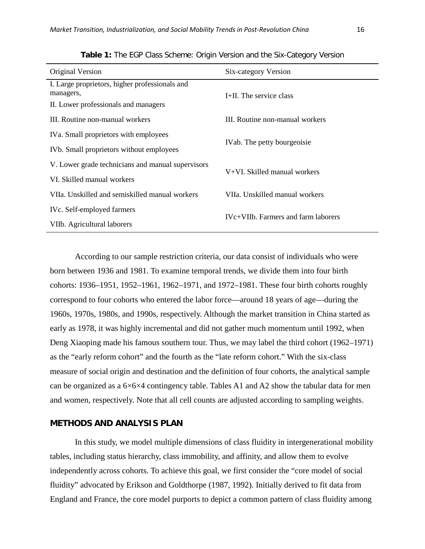| Original Version                                            | Six-category Version                                          |  |  |  |  |
|-------------------------------------------------------------|---------------------------------------------------------------|--|--|--|--|
| I. Large proprietors, higher professionals and<br>managers, | I+II. The service class                                       |  |  |  |  |
| II. Lower professionals and managers                        |                                                               |  |  |  |  |
| III. Routine non-manual workers                             | III. Routine non-manual workers                               |  |  |  |  |
| IVa. Small proprietors with employees                       | IVab. The petty bourgeoisie                                   |  |  |  |  |
| IVb. Small proprietors without employees                    |                                                               |  |  |  |  |
| V. Lower grade technicians and manual supervisors           | V+VI. Skilled manual workers                                  |  |  |  |  |
| VI. Skilled manual workers                                  |                                                               |  |  |  |  |
| VIIa. Unskilled and semiskilled manual workers              | VIIa. Unskilled manual workers                                |  |  |  |  |
| IVc. Self-employed farmers                                  | IV <sub>C</sub> +VII <sub>b</sub> . Farmers and farm laborers |  |  |  |  |
| VIIb. Agricultural laborers                                 |                                                               |  |  |  |  |

**Table 1:** The EGP Class Scheme: Origin Version and the Six-Category Version

According to our sample restriction criteria, our data consist of individuals who were born between 1936 and 1981. To examine temporal trends, we divide them into four birth cohorts: 1936–1951, 1952–1961, 1962–1971, and 1972–1981. These four birth cohorts roughly correspond to four cohorts who entered the labor force—around 18 years of age—during the 1960s, 1970s, 1980s, and 1990s, respectively. Although the market transition in China started as early as 1978, it was highly incremental and did not gather much momentum until 1992, when Deng Xiaoping made his famous southern tour. Thus, we may label the third cohort (1962–1971) as the "early reform cohort" and the fourth as the "late reform cohort." With the six-class measure of social origin and destination and the definition of four cohorts, the analytical sample can be organized as a 6×6×4 contingency table. Tables A1 and A2 show the tabular data for men and women, respectively. Note that all cell counts are adjusted according to sampling weights.

# **METHODS AND ANALYSIS PLAN**

In this study, we model multiple dimensions of class fluidity in intergenerational mobility tables, including status hierarchy, class immobility, and affinity, and allow them to evolve independently across cohorts. To achieve this goal, we first consider the "core model of social fluidity" advocated by Erikson and Goldthorpe (1987, 1992). Initially derived to fit data from England and France, the core model purports to depict a common pattern of class fluidity among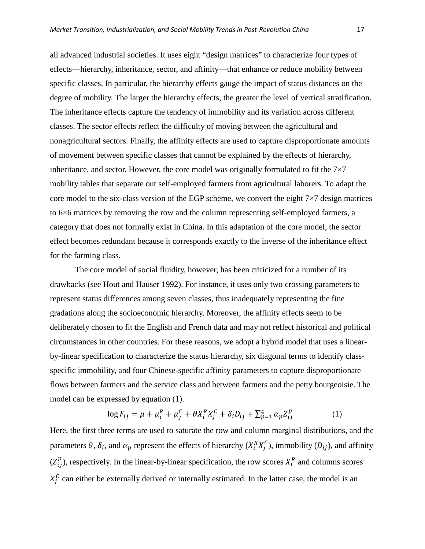all advanced industrial societies. It uses eight "design matrices" to characterize four types of effects—hierarchy, inheritance, sector, and affinity—that enhance or reduce mobility between specific classes. In particular, the hierarchy effects gauge the impact of status distances on the degree of mobility. The larger the hierarchy effects, the greater the level of vertical stratification. The inheritance effects capture the tendency of immobility and its variation across different classes. The sector effects reflect the difficulty of moving between the agricultural and nonagricultural sectors. Finally, the affinity effects are used to capture disproportionate amounts of movement between specific classes that cannot be explained by the effects of hierarchy, inheritance, and sector. However, the core model was originally formulated to fit the  $7\times7$ mobility tables that separate out self-employed farmers from agricultural laborers. To adapt the core model to the six-class version of the EGP scheme, we convert the eight  $7\times7$  design matrices to 6×6 matrices by removing the row and the column representing self-employed farmers, a category that does not formally exist in China. In this adaptation of the core model, the sector effect becomes redundant because it corresponds exactly to the inverse of the inheritance effect for the farming class.

The core model of social fluidity, however, has been criticized for a number of its drawbacks (see Hout and Hauser 1992). For instance, it uses only two crossing parameters to represent status differences among seven classes, thus inadequately representing the fine gradations along the socioeconomic hierarchy. Moreover, the affinity effects seem to be deliberately chosen to fit the English and French data and may not reflect historical and political circumstances in other countries. For these reasons, we adopt a hybrid model that uses a linearby-linear specification to characterize the status hierarchy, six diagonal terms to identify classspecific immobility, and four Chinese-specific affinity parameters to capture disproportionate flows between farmers and the service class and between farmers and the petty bourgeoisie. The model can be expressed by equation (1).

$$
\log F_{ij} = \mu + \mu_i^R + \mu_j^C + \theta X_i^R X_j^C + \delta_i D_{ij} + \sum_{p=1}^4 \alpha_p Z_{ij}^p
$$
 (1)

Here, the first three terms are used to saturate the row and column marginal distributions, and the parameters  $\theta$ ,  $\delta_i$ , and  $\alpha_p$  represent the effects of hierarchy  $(X_i^R X_j^C)$ , immobility  $(D_{ij})$ , and affinity  $(Z_{ij}^p)$ , respectively. In the linear-by-linear specification, the row scores  $X_i^R$  and columns scores  $X_i^C$  can either be externally derived or internally estimated. In the latter case, the model is an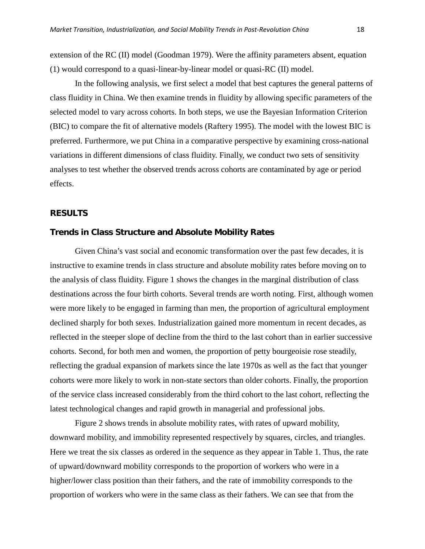extension of the RC (II) model (Goodman 1979). Were the affinity parameters absent, equation (1) would correspond to a quasi-linear-by-linear model or quasi-RC (II) model.

In the following analysis, we first select a model that best captures the general patterns of class fluidity in China. We then examine trends in fluidity by allowing specific parameters of the selected model to vary across cohorts. In both steps, we use the Bayesian Information Criterion (BIC) to compare the fit of alternative models (Raftery 1995). The model with the lowest BIC is preferred. Furthermore, we put China in a comparative perspective by examining cross-national variations in different dimensions of class fluidity. Finally, we conduct two sets of sensitivity analyses to test whether the observed trends across cohorts are contaminated by age or period effects.

# **RESULTS**

## **Trends in Class Structure and Absolute Mobility Rates**

Given China's vast social and economic transformation over the past few decades, it is instructive to examine trends in class structure and absolute mobility rates before moving on to the analysis of class fluidity. Figure 1 shows the changes in the marginal distribution of class destinations across the four birth cohorts. Several trends are worth noting. First, although women were more likely to be engaged in farming than men, the proportion of agricultural employment declined sharply for both sexes. Industrialization gained more momentum in recent decades, as reflected in the steeper slope of decline from the third to the last cohort than in earlier successive cohorts. Second, for both men and women, the proportion of petty bourgeoisie rose steadily, reflecting the gradual expansion of markets since the late 1970s as well as the fact that younger cohorts were more likely to work in non-state sectors than older cohorts. Finally, the proportion of the service class increased considerably from the third cohort to the last cohort, reflecting the latest technological changes and rapid growth in managerial and professional jobs.

Figure 2 shows trends in absolute mobility rates, with rates of upward mobility, downward mobility, and immobility represented respectively by squares, circles, and triangles. Here we treat the six classes as ordered in the sequence as they appear in Table 1. Thus, the rate of upward/downward mobility corresponds to the proportion of workers who were in a higher/lower class position than their fathers, and the rate of immobility corresponds to the proportion of workers who were in the same class as their fathers. We can see that from the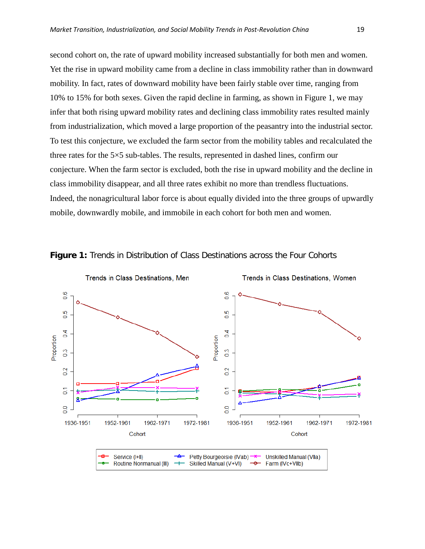second cohort on, the rate of upward mobility increased substantially for both men and women. Yet the rise in upward mobility came from a decline in class immobility rather than in downward mobility. In fact, rates of downward mobility have been fairly stable over time, ranging from 10% to 15% for both sexes. Given the rapid decline in farming, as shown in Figure 1, we may infer that both rising upward mobility rates and declining class immobility rates resulted mainly from industrialization, which moved a large proportion of the peasantry into the industrial sector. To test this conjecture, we excluded the farm sector from the mobility tables and recalculated the three rates for the 5×5 sub-tables. The results, represented in dashed lines, confirm our conjecture. When the farm sector is excluded, both the rise in upward mobility and the decline in class immobility disappear, and all three rates exhibit no more than trendless fluctuations. Indeed, the nonagricultural labor force is about equally divided into the three groups of upwardly mobile, downwardly mobile, and immobile in each cohort for both men and women.



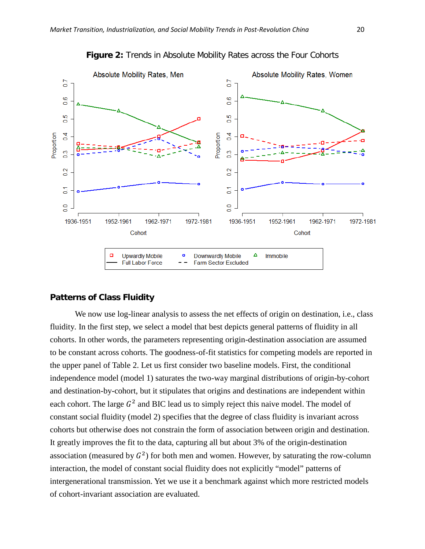

**Figure 2:** Trends in Absolute Mobility Rates across the Four Cohorts

## **Patterns of Class Fluidity**

We now use log-linear analysis to assess the net effects of origin on destination, i.e., class fluidity. In the first step, we select a model that best depicts general patterns of fluidity in all cohorts. In other words, the parameters representing origin-destination association are assumed to be constant across cohorts. The goodness-of-fit statistics for competing models are reported in the upper panel of Table 2. Let us first consider two baseline models. First, the conditional independence model (model 1) saturates the two-way marginal distributions of origin-by-cohort and destination-by-cohort, but it stipulates that origins and destinations are independent within each cohort. The large  $G^2$  and BIC lead us to simply reject this naive model. The model of constant social fluidity (model 2) specifies that the degree of class fluidity is invariant across cohorts but otherwise does not constrain the form of association between origin and destination. It greatly improves the fit to the data, capturing all but about 3% of the origin-destination association (measured by  $G^2$ ) for both men and women. However, by saturating the row-column interaction, the model of constant social fluidity does not explicitly "model" patterns of intergenerational transmission. Yet we use it a benchmark against which more restricted models of cohort-invariant association are evaluated.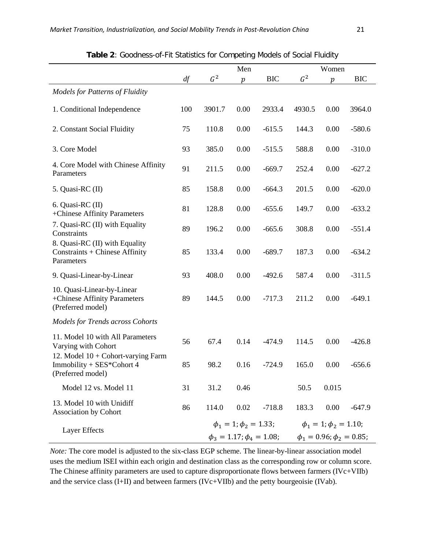|                                                                                               |     |                | Men                                 |            | Women          |                                  |            |  |
|-----------------------------------------------------------------------------------------------|-----|----------------|-------------------------------------|------------|----------------|----------------------------------|------------|--|
|                                                                                               | df  | G <sup>2</sup> | $\,p\,$                             | <b>BIC</b> | G <sup>2</sup> | $\,p\,$                          | <b>BIC</b> |  |
| <b>Models for Patterns of Fluidity</b>                                                        |     |                |                                     |            |                |                                  |            |  |
| 1. Conditional Independence                                                                   | 100 | 3901.7         | 0.00                                | 2933.4     | 4930.5         | 0.00                             | 3964.0     |  |
| 2. Constant Social Fluidity                                                                   | 75  | 110.8          | 0.00                                | $-615.5$   | 144.3          | 0.00                             | $-580.6$   |  |
| 3. Core Model                                                                                 | 93  | 385.0          | 0.00                                | $-515.5$   | 588.8          | 0.00                             | $-310.0$   |  |
| 4. Core Model with Chinese Affinity<br>Parameters                                             | 91  | 211.5          | 0.00                                | $-669.7$   | 252.4          | 0.00                             | $-627.2$   |  |
| 5. Quasi-RC (II)                                                                              | 85  | 158.8          | 0.00                                | $-664.3$   | 201.5          | 0.00                             | $-620.0$   |  |
| 6. Quasi-RC (II)<br>+Chinese Affinity Parameters                                              | 81  | 128.8          | 0.00                                | $-655.6$   | 149.7          | 0.00                             | $-633.2$   |  |
| 7. Quasi-RC (II) with Equality<br>Constraints                                                 | 89  | 196.2          | 0.00                                | $-665.6$   | 308.8          | 0.00                             | $-551.4$   |  |
| 8. Quasi-RC (II) with Equality<br>Constraints + Chinese Affinity<br>Parameters                | 85  | 133.4          | 0.00                                | $-689.7$   | 187.3          | 0.00                             | $-634.2$   |  |
| 9. Quasi-Linear-by-Linear                                                                     | 93  | 408.0          | 0.00                                | $-492.6$   | 587.4          | 0.00                             | $-311.5$   |  |
| 10. Quasi-Linear-by-Linear<br>+Chinese Affinity Parameters<br>(Preferred model)               | 89  | 144.5          | 0.00                                | $-717.3$   | 211.2          | 0.00                             | $-649.1$   |  |
| <b>Models for Trends across Cohorts</b>                                                       |     |                |                                     |            |                |                                  |            |  |
| 11. Model 10 with All Parameters<br>Varying with Cohort                                       | 56  | 67.4           | 0.14                                | $-474.9$   | 114.5          | 0.00                             | $-426.8$   |  |
| 12. Model $10 + \text{Cohort-varying Farm}$<br>Immobility + SES*Cohort 4<br>(Preferred model) | 85  | 98.2           | 0.16                                | $-724.9$   | 165.0          | 0.00                             | $-656.6$   |  |
| Model 12 vs. Model 11                                                                         | 31  | 31.2           | 0.46                                |            | 50.5           | 0.015                            |            |  |
| 13. Model 10 with Unidiff<br><b>Association by Cohort</b>                                     | 86  | 114.0          | 0.02                                | $-718.8$   | 183.3          | 0.00                             | $-647.9$   |  |
| Layer Effects                                                                                 |     |                | $\phi_1 = 1$ ; $\phi_2 = 1.33$ ;    |            |                | $\phi_1 = 1$ ; $\phi_2 = 1.10$ ; |            |  |
|                                                                                               |     |                | $\phi_3 = 1.17$ ; $\phi_4 = 1.08$ ; |            |                | $\phi_1 = 0.96; \phi_2 = 0.85;$  |            |  |

**Table 2**: Goodness-of-Fit Statistics for Competing Models of Social Fluidity

*Note:* The core model is adjusted to the six-class EGP scheme. The linear-by-linear association model uses the medium ISEI within each origin and destination class as the corresponding row or column score. The Chinese affinity parameters are used to capture disproportionate flows between farmers (IVc+VIIb) and the service class (I+II) and between farmers (IVc+VIIb) and the petty bourgeoisie (IVab).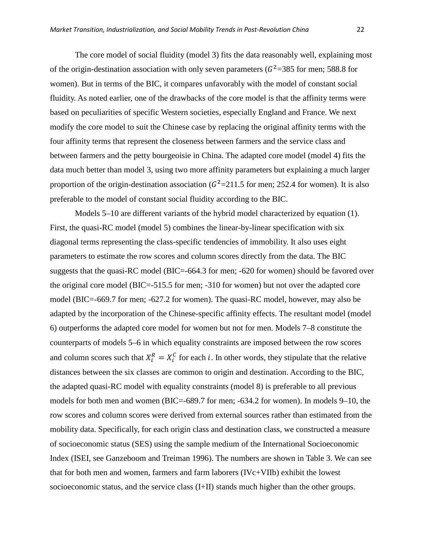The core model of social fluidity (model 3) fits the data reasonably well, explaining most of the origin-destination association with only seven parameters ( $G^2$ =385 for men; 588.8 for women). But in terms of the BIC, it compares unfavorably with the model of constant social fluidity. As noted earlier, one of the drawbacks of the core model is that the affinity terms were based on peculiarities of specific Western societies, especially England and France. We next modify the core model to suit the Chinese case by replacing the original affinity terms with the four affinity terms that represent the closeness between farmers and the service class and between farmers and the petty bourgeoisie in China. The adapted core model (model 4) fits the data much better than model 3, using two more affinity parameters but explaining a much larger proportion of the origin-destination association ( $G^2$ =211.5 for men; 252.4 for women). It is also preferable to the model of constant social fluidity according to the BIC.

Models 5–10 are different variants of the hybrid model characterized by equation (1). First, the quasi-RC model (model 5) combines the linear-by-linear specification with six diagonal terms representing the class-specific tendencies of immobility. It also uses eight parameters to estimate the row scores and column scores directly from the data. The BIC suggests that the quasi-RC model (BIC=-664.3 for men; -620 for women) should be favored over the original core model (BIC=-515.5 for men; -310 for women) but not over the adapted core model (BIC=-669.7 for men; -627.2 for women). The quasi-RC model, however, may also be adapted by the incorporation of the Chinese-specific affinity effects. The resultant model (model 6) outperforms the adapted core model for women but not for men. Models 7–8 constitute the counterparts of models 5–6 in which equality constraints are imposed between the row scores and column scores such that  $X_i^R = X_i^C$  for each *i*. In other words, they stipulate that the relative distances between the six classes are common to origin and destination. According to the BIC, the adapted quasi-RC model with equality constraints (model 8) is preferable to all previous models for both men and women (BIC=-689.7 for men; -634.2 for women). In models 9–10, the row scores and column scores were derived from external sources rather than estimated from the mobility data. Specifically, for each origin class and destination class, we constructed a measure of socioeconomic status (SES) using the sample medium of the International Socioeconomic Index (ISEI, see Ganzeboom and Treiman 1996). The numbers are shown in Table 3. We can see that for both men and women, farmers and farm laborers (IVc+VIIb) exhibit the lowest socioeconomic status, and the service class (I+II) stands much higher than the other groups.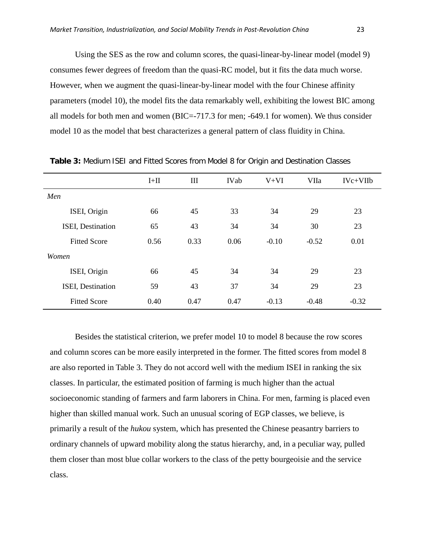Using the SES as the row and column scores, the quasi-linear-by-linear model (model 9) consumes fewer degrees of freedom than the quasi-RC model, but it fits the data much worse. However, when we augment the quasi-linear-by-linear model with the four Chinese affinity parameters (model 10), the model fits the data remarkably well, exhibiting the lowest BIC among all models for both men and women (BIC=-717.3 for men; -649.1 for women). We thus consider model 10 as the model that best characterizes a general pattern of class fluidity in China.

|                     | $I+II$ | III  | <b>IVab</b> | $V+VI$  | VIIa    | $IVc+VIIb$ |
|---------------------|--------|------|-------------|---------|---------|------------|
| Men                 |        |      |             |         |         |            |
| ISEI, Origin        | 66     | 45   | 33          | 34      | 29      | 23         |
| ISEI, Destination   | 65     | 43   | 34          | 34      | 30      | 23         |
| <b>Fitted Score</b> | 0.56   | 0.33 | 0.06        | $-0.10$ | $-0.52$ | 0.01       |
| Women               |        |      |             |         |         |            |
| ISEI, Origin        | 66     | 45   | 34          | 34      | 29      | 23         |
| ISEI, Destination   | 59     | 43   | 37          | 34      | 29      | 23         |
| <b>Fitted Score</b> | 0.40   | 0.47 | 0.47        | $-0.13$ | $-0.48$ | $-0.32$    |

**Table 3:** Medium ISEI and Fitted Scores from Model 8 for Origin and Destination Classes

Besides the statistical criterion, we prefer model 10 to model 8 because the row scores and column scores can be more easily interpreted in the former. The fitted scores from model 8 are also reported in Table 3. They do not accord well with the medium ISEI in ranking the six classes. In particular, the estimated position of farming is much higher than the actual socioeconomic standing of farmers and farm laborers in China. For men, farming is placed even higher than skilled manual work. Such an unusual scoring of EGP classes, we believe, is primarily a result of the *hukou* system, which has presented the Chinese peasantry barriers to ordinary channels of upward mobility along the status hierarchy, and, in a peculiar way, pulled them closer than most blue collar workers to the class of the petty bourgeoisie and the service class.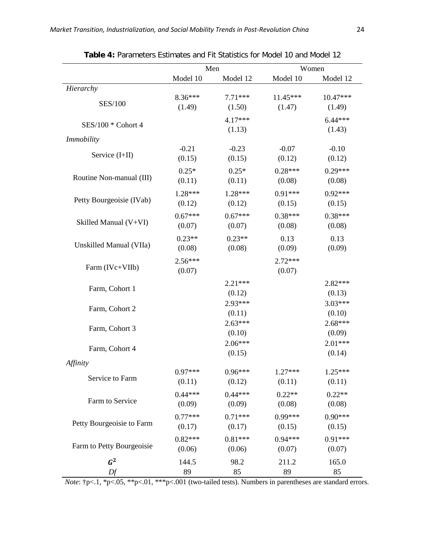|                           |                     | Men                 | Women               |                     |  |
|---------------------------|---------------------|---------------------|---------------------|---------------------|--|
|                           | Model 10            | Model 12            | Model 10            | Model 12            |  |
| Hierarchy                 |                     |                     |                     |                     |  |
| <b>SES/100</b>            | 8.36***             | $7.71***$           | $11.45***$          | $10.47***$          |  |
|                           | (1.49)              | (1.50)              | (1.47)              | (1.49)              |  |
| SES/100 * Cohort 4        |                     | $4.17***$<br>(1.13) |                     | $6.44***$<br>(1.43) |  |
| <i>Immobility</i>         |                     |                     |                     |                     |  |
| Service (I+II)            | $-0.21$             | $-0.23$             | $-0.07$             | $-0.10$             |  |
|                           | (0.15)              | (0.15)              | (0.12)              | (0.12)              |  |
| Routine Non-manual (III)  | $0.25*$             | $0.25*$             | $0.28***$           | $0.29***$           |  |
|                           | (0.11)              | (0.11)              | (0.08)              | (0.08)              |  |
| Petty Bourgeoisie (IVab)  | $1.28***$           | 1.28***             | $0.91***$           | $0.92***$           |  |
|                           | (0.12)              | (0.12)              | (0.15)              | (0.15)              |  |
| Skilled Manual (V+VI)     | $0.67***$           | $0.67***$           | $0.38***$           | $0.38***$           |  |
|                           | (0.07)              | (0.07)              | (0.08)              | (0.08)              |  |
| Unskilled Manual (VIIa)   | $0.23**$            | $0.23**$            | 0.13                | 0.13                |  |
|                           | (0.08)              | (0.08)              | (0.09)              | (0.09)              |  |
| Farm (IVc+VIIb)           | $2.56***$<br>(0.07) |                     | $2.72***$<br>(0.07) |                     |  |
| Farm, Cohort 1            |                     | $2.21***$<br>(0.12) |                     | $2.82***$<br>(0.13) |  |
| Farm, Cohort 2            |                     | 2.93***<br>(0.11)   |                     | $3.03***$<br>(0.10) |  |
| Farm, Cohort 3            |                     | $2.63***$<br>(0.10) |                     | $2.68***$<br>(0.09) |  |
| Farm, Cohort 4            |                     | $2.06***$<br>(0.15) |                     | $2.01***$<br>(0.14) |  |
| Affinity                  |                     |                     |                     |                     |  |
| Service to Farm           | $0.97***$           | $0.96***$           | $1.27***$           | $1.25***$           |  |
|                           | (0.11)              | (0.12)              | (0.11)              | (0.11)              |  |
| Farm to Service           | $0.44***$           | $0.44***$           | $0.22**$            | $0.22**$            |  |
|                           | (0.09)              | (0.09)              | (0.08)              | (0.08)              |  |
| Petty Bourgeoisie to Farm | $0.77***$           | $0.71***$           | $0.99***$           | $0.90***$           |  |
|                           | (0.17)              | (0.17)              | (0.15)              | (0.15)              |  |
| Farm to Petty Bourgeoisie | $0.82***$           | $0.81***$           | $0.94***$           | $0.91***$           |  |
|                           | (0.06)              | (0.06)              | (0.07)              | (0.07)              |  |
| $G^2$                     | 144.5               | 98.2                | 211.2               | 165.0               |  |
| Df                        | 89                  | 85                  | 89                  | 85                  |  |

**Table 4:** Parameters Estimates and Fit Statistics for Model 10 and Model 12

*Note*:  $\uparrow$  p<.1, \*p<.05, \*\*p<.01, \*\*\*p<.001 (two-tailed tests). Numbers in parentheses are standard errors.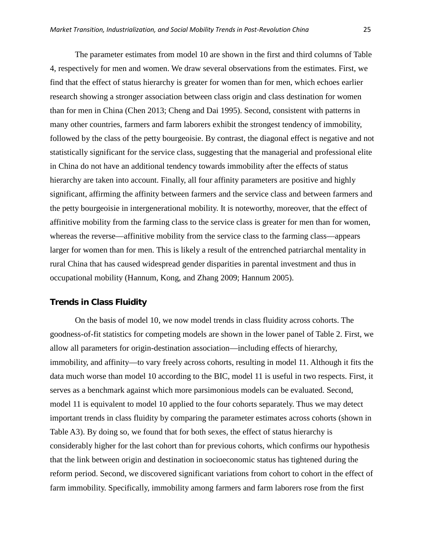The parameter estimates from model 10 are shown in the first and third columns of Table 4, respectively for men and women. We draw several observations from the estimates. First, we find that the effect of status hierarchy is greater for women than for men, which echoes earlier research showing a stronger association between class origin and class destination for women than for men in China (Chen 2013; Cheng and Dai 1995). Second, consistent with patterns in many other countries, farmers and farm laborers exhibit the strongest tendency of immobility, followed by the class of the petty bourgeoisie. By contrast, the diagonal effect is negative and not statistically significant for the service class, suggesting that the managerial and professional elite in China do not have an additional tendency towards immobility after the effects of status hierarchy are taken into account. Finally, all four affinity parameters are positive and highly significant, affirming the affinity between farmers and the service class and between farmers and the petty bourgeoisie in intergenerational mobility. It is noteworthy, moreover, that the effect of affinitive mobility from the farming class to the service class is greater for men than for women, whereas the reverse—affinitive mobility from the service class to the farming class—appears larger for women than for men. This is likely a result of the entrenched patriarchal mentality in rural China that has caused widespread gender disparities in parental investment and thus in occupational mobility (Hannum, Kong, and Zhang 2009; Hannum 2005).

# **Trends in Class Fluidity**

On the basis of model 10, we now model trends in class fluidity across cohorts. The goodness-of-fit statistics for competing models are shown in the lower panel of Table 2. First, we allow all parameters for origin-destination association—including effects of hierarchy, immobility, and affinity—to vary freely across cohorts, resulting in model 11. Although it fits the data much worse than model 10 according to the BIC, model 11 is useful in two respects. First, it serves as a benchmark against which more parsimonious models can be evaluated. Second, model 11 is equivalent to model 10 applied to the four cohorts separately. Thus we may detect important trends in class fluidity by comparing the parameter estimates across cohorts (shown in Table A3). By doing so, we found that for both sexes, the effect of status hierarchy is considerably higher for the last cohort than for previous cohorts, which confirms our hypothesis that the link between origin and destination in socioeconomic status has tightened during the reform period. Second, we discovered significant variations from cohort to cohort in the effect of farm immobility. Specifically, immobility among farmers and farm laborers rose from the first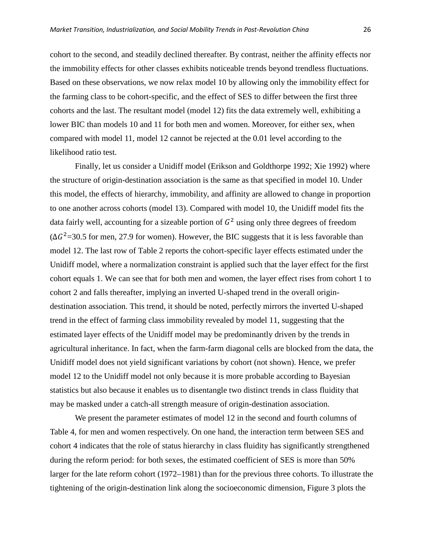cohort to the second, and steadily declined thereafter. By contrast, neither the affinity effects nor the immobility effects for other classes exhibits noticeable trends beyond trendless fluctuations. Based on these observations, we now relax model 10 by allowing only the immobility effect for the farming class to be cohort-specific, and the effect of SES to differ between the first three cohorts and the last. The resultant model (model 12) fits the data extremely well, exhibiting a lower BIC than models 10 and 11 for both men and women. Moreover, for either sex, when compared with model 11, model 12 cannot be rejected at the 0.01 level according to the likelihood ratio test.

Finally, let us consider a Unidiff model (Erikson and Goldthorpe 1992; Xie 1992) where the structure of origin-destination association is the same as that specified in model 10. Under this model, the effects of hierarchy, immobility, and affinity are allowed to change in proportion to one another across cohorts (model 13). Compared with model 10, the Unidiff model fits the data fairly well, accounting for a sizeable portion of  $G<sup>2</sup>$  using only three degrees of freedom  $(\Delta G^2 = 30.5$  for men, 27.9 for women). However, the BIC suggests that it is less favorable than model 12. The last row of Table 2 reports the cohort-specific layer effects estimated under the Unidiff model, where a normalization constraint is applied such that the layer effect for the first cohort equals 1. We can see that for both men and women, the layer effect rises from cohort 1 to cohort 2 and falls thereafter, implying an inverted U-shaped trend in the overall origindestination association. This trend, it should be noted, perfectly mirrors the inverted U-shaped trend in the effect of farming class immobility revealed by model 11, suggesting that the estimated layer effects of the Unidiff model may be predominantly driven by the trends in agricultural inheritance. In fact, when the farm-farm diagonal cells are blocked from the data, the Unidiff model does not yield significant variations by cohort (not shown). Hence, we prefer model 12 to the Unidiff model not only because it is more probable according to Bayesian statistics but also because it enables us to disentangle two distinct trends in class fluidity that may be masked under a catch-all strength measure of origin-destination association.

We present the parameter estimates of model 12 in the second and fourth columns of Table 4, for men and women respectively. On one hand, the interaction term between SES and cohort 4 indicates that the role of status hierarchy in class fluidity has significantly strengthened during the reform period: for both sexes, the estimated coefficient of SES is more than 50% larger for the late reform cohort (1972–1981) than for the previous three cohorts. To illustrate the tightening of the origin-destination link along the socioeconomic dimension, Figure 3 plots the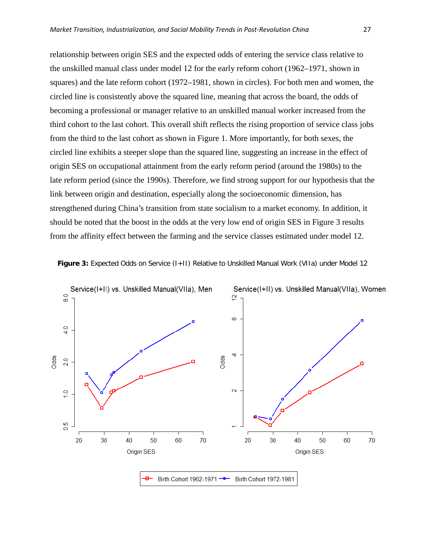relationship between origin SES and the expected odds of entering the service class relative to the unskilled manual class under model 12 for the early reform cohort (1962–1971, shown in squares) and the late reform cohort (1972–1981, shown in circles). For both men and women, the circled line is consistently above the squared line, meaning that across the board, the odds of becoming a professional or manager relative to an unskilled manual worker increased from the third cohort to the last cohort. This overall shift reflects the rising proportion of service class jobs from the third to the last cohort as shown in Figure 1. More importantly, for both sexes, the circled line exhibits a steeper slope than the squared line, suggesting an increase in the effect of origin SES on occupational attainment from the early reform period (around the 1980s) to the late reform period (since the 1990s). Therefore, we find strong support for our hypothesis that the link between origin and destination, especially along the socioeconomic dimension, has strengthened during China's transition from state socialism to a market economy. In addition, it should be noted that the boost in the odds at the very low end of origin SES in Figure 3 results from the affinity effect between the farming and the service classes estimated under model 12.



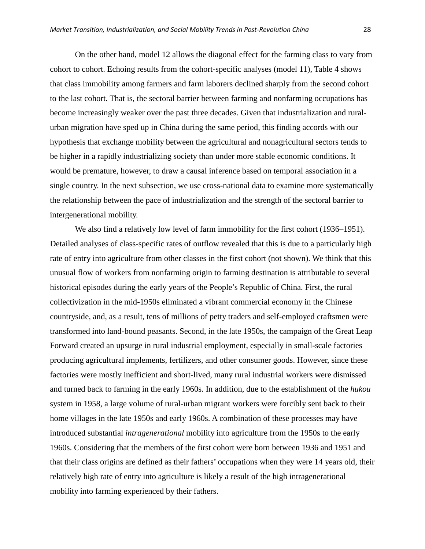On the other hand, model 12 allows the diagonal effect for the farming class to vary from cohort to cohort. Echoing results from the cohort-specific analyses (model 11), Table 4 shows that class immobility among farmers and farm laborers declined sharply from the second cohort to the last cohort. That is, the sectoral barrier between farming and nonfarming occupations has become increasingly weaker over the past three decades. Given that industrialization and ruralurban migration have sped up in China during the same period, this finding accords with our hypothesis that exchange mobility between the agricultural and nonagricultural sectors tends to be higher in a rapidly industrializing society than under more stable economic conditions. It would be premature, however, to draw a causal inference based on temporal association in a single country. In the next subsection, we use cross-national data to examine more systematically the relationship between the pace of industrialization and the strength of the sectoral barrier to intergenerational mobility.

We also find a relatively low level of farm immobility for the first cohort (1936–1951). Detailed analyses of class-specific rates of outflow revealed that this is due to a particularly high rate of entry into agriculture from other classes in the first cohort (not shown). We think that this unusual flow of workers from nonfarming origin to farming destination is attributable to several historical episodes during the early years of the People's Republic of China. First, the rural collectivization in the mid-1950s eliminated a vibrant commercial economy in the Chinese countryside, and, as a result, tens of millions of petty traders and self-employed craftsmen were transformed into land-bound peasants. Second, in the late 1950s, the campaign of the Great Leap Forward created an upsurge in rural industrial employment, especially in small-scale factories producing agricultural implements, fertilizers, and other consumer goods. However, since these factories were mostly inefficient and short-lived, many rural industrial workers were dismissed and turned back to farming in the early 1960s. In addition, due to the establishment of the *hukou* system in 1958, a large volume of rural-urban migrant workers were forcibly sent back to their home villages in the late 1950s and early 1960s. A combination of these processes may have introduced substantial *intragenerational* mobility into agriculture from the 1950s to the early 1960s. Considering that the members of the first cohort were born between 1936 and 1951 and that their class origins are defined as their fathers' occupations when they were 14 years old, their relatively high rate of entry into agriculture is likely a result of the high intragenerational mobility into farming experienced by their fathers.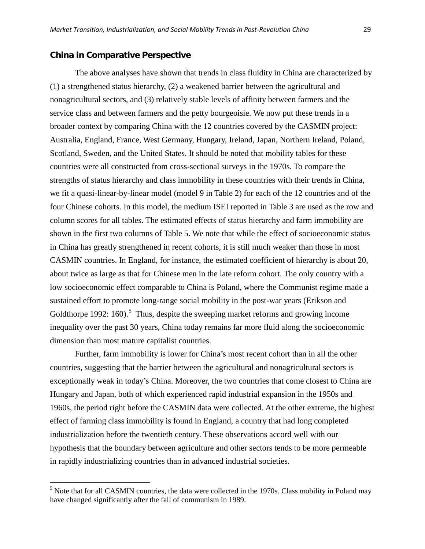## **China in Comparative Perspective**

 $\overline{\phantom{a}}$ 

The above analyses have shown that trends in class fluidity in China are characterized by (1) a strengthened status hierarchy, (2) a weakened barrier between the agricultural and nonagricultural sectors, and (3) relatively stable levels of affinity between farmers and the service class and between farmers and the petty bourgeoisie. We now put these trends in a broader context by comparing China with the 12 countries covered by the CASMIN project: Australia, England, France, West Germany, Hungary, Ireland, Japan, Northern Ireland, Poland, Scotland, Sweden, and the United States. It should be noted that mobility tables for these countries were all constructed from cross-sectional surveys in the 1970s. To compare the strengths of status hierarchy and class immobility in these countries with their trends in China, we fit a quasi-linear-by-linear model (model 9 in Table 2) for each of the 12 countries and of the four Chinese cohorts. In this model, the medium ISEI reported in Table 3 are used as the row and column scores for all tables. The estimated effects of status hierarchy and farm immobility are shown in the first two columns of Table 5. We note that while the effect of socioeconomic status in China has greatly strengthened in recent cohorts, it is still much weaker than those in most CASMIN countries. In England, for instance, the estimated coefficient of hierarchy is about 20, about twice as large as that for Chinese men in the late reform cohort. The only country with a low socioeconomic effect comparable to China is Poland, where the Communist regime made a sustained effort to promote long-range social mobility in the post-war years (Erikson and Goldthorpe 1992: 160).<sup>[5](#page-28-0)</sup> Thus, despite the sweeping market reforms and growing income inequality over the past 30 years, China today remains far more fluid along the socioeconomic dimension than most mature capitalist countries.

Further, farm immobility is lower for China's most recent cohort than in all the other countries, suggesting that the barrier between the agricultural and nonagricultural sectors is exceptionally weak in today's China. Moreover, the two countries that come closest to China are Hungary and Japan, both of which experienced rapid industrial expansion in the 1950s and 1960s, the period right before the CASMIN data were collected. At the other extreme, the highest effect of farming class immobility is found in England, a country that had long completed industrialization before the twentieth century. These observations accord well with our hypothesis that the boundary between agriculture and other sectors tends to be more permeable in rapidly industrializing countries than in advanced industrial societies.

<span id="page-28-0"></span><sup>&</sup>lt;sup>5</sup> Note that for all CASMIN countries, the data were collected in the 1970s. Class mobility in Poland may have changed significantly after the fall of communism in 1989.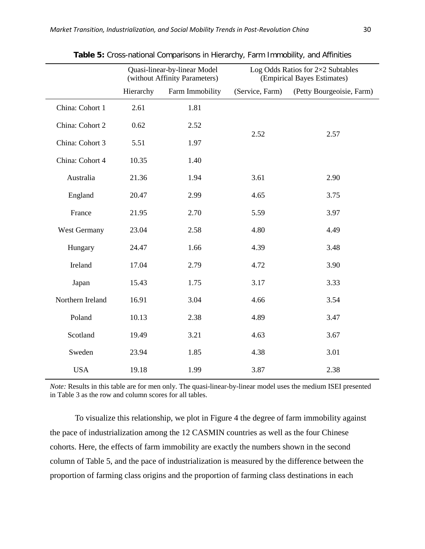|                  |           | Quasi-linear-by-linear Model<br>(without Affinity Parameters) | Log Odds Ratios for $2\times2$ Subtables<br>(Empirical Bayes Estimates) |                           |  |  |
|------------------|-----------|---------------------------------------------------------------|-------------------------------------------------------------------------|---------------------------|--|--|
|                  | Hierarchy | Farm Immobility                                               | (Service, Farm)                                                         | (Petty Bourgeoisie, Farm) |  |  |
| China: Cohort 1  | 2.61      | 1.81                                                          |                                                                         |                           |  |  |
| China: Cohort 2  | 0.62      | 2.52                                                          |                                                                         |                           |  |  |
| China: Cohort 3  | 5.51      | 1.97                                                          | 2.52                                                                    | 2.57                      |  |  |
| China: Cohort 4  | 10.35     | 1.40                                                          |                                                                         |                           |  |  |
| Australia        | 21.36     | 1.94                                                          | 3.61                                                                    | 2.90                      |  |  |
| England          | 20.47     | 2.99                                                          | 4.65                                                                    | 3.75                      |  |  |
| France           | 21.95     | 2.70                                                          | 5.59                                                                    | 3.97                      |  |  |
| West Germany     | 23.04     | 2.58                                                          | 4.80                                                                    | 4.49                      |  |  |
| Hungary          | 24.47     | 1.66                                                          | 4.39                                                                    | 3.48                      |  |  |
| Ireland          | 17.04     | 2.79                                                          | 4.72                                                                    | 3.90                      |  |  |
| Japan            | 15.43     | 1.75                                                          | 3.17                                                                    | 3.33                      |  |  |
| Northern Ireland | 16.91     | 3.04                                                          | 4.66                                                                    | 3.54                      |  |  |
| Poland           | 10.13     | 2.38                                                          | 4.89                                                                    | 3.47                      |  |  |
| Scotland         | 19.49     | 3.21                                                          | 4.63                                                                    | 3.67                      |  |  |
| Sweden           | 23.94     | 1.85                                                          | 4.38                                                                    | 3.01                      |  |  |
| <b>USA</b>       | 19.18     | 1.99                                                          | 3.87                                                                    | 2.38                      |  |  |

**Table 5:** Cross-national Comparisons in Hierarchy, Farm Immobility, and Affinities

*Note:* Results in this table are for men only. The quasi-linear-by-linear model uses the medium ISEI presented in Table 3 as the row and column scores for all tables.

To visualize this relationship, we plot in Figure 4 the degree of farm immobility against the pace of industrialization among the 12 CASMIN countries as well as the four Chinese cohorts. Here, the effects of farm immobility are exactly the numbers shown in the second column of Table 5, and the pace of industrialization is measured by the difference between the proportion of farming class origins and the proportion of farming class destinations in each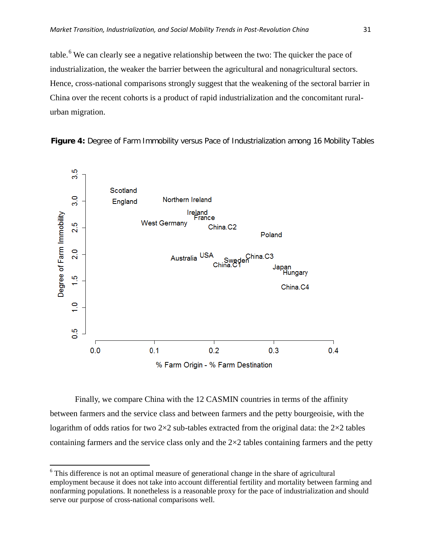table.<sup>[6](#page-30-0)</sup> We can clearly see a negative relationship between the two: The quicker the pace of industrialization, the weaker the barrier between the agricultural and nonagricultural sectors. Hence, cross-national comparisons strongly suggest that the weakening of the sectoral barrier in China over the recent cohorts is a product of rapid industrialization and the concomitant ruralurban migration.





% Farm Origin - % Farm Destination

Finally, we compare China with the 12 CASMIN countries in terms of the affinity between farmers and the service class and between farmers and the petty bourgeoisie, with the logarithm of odds ratios for two  $2\times 2$  sub-tables extracted from the original data: the  $2\times 2$  tables containing farmers and the service class only and the 2×2 tables containing farmers and the petty

 $\overline{\phantom{a}}$ 

<span id="page-30-0"></span> $6$  This difference is not an optimal measure of generational change in the share of agricultural employment because it does not take into account differential fertility and mortality between farming and nonfarming populations. It nonetheless is a reasonable proxy for the pace of industrialization and should serve our purpose of cross-national comparisons well.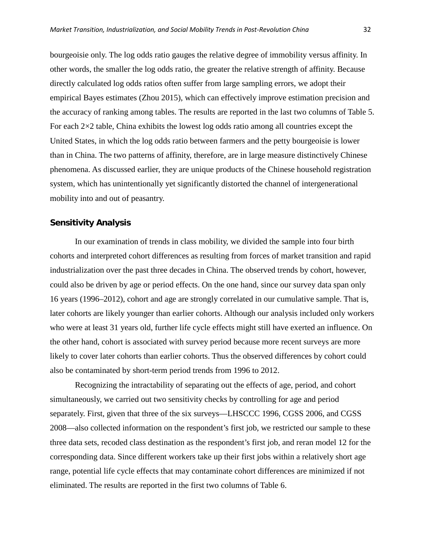bourgeoisie only. The log odds ratio gauges the relative degree of immobility versus affinity. In other words, the smaller the log odds ratio, the greater the relative strength of affinity. Because directly calculated log odds ratios often suffer from large sampling errors, we adopt their empirical Bayes estimates (Zhou 2015), which can effectively improve estimation precision and the accuracy of ranking among tables. The results are reported in the last two columns of Table 5. For each 2×2 table, China exhibits the lowest log odds ratio among all countries except the United States, in which the log odds ratio between farmers and the petty bourgeoisie is lower than in China. The two patterns of affinity, therefore, are in large measure distinctively Chinese phenomena. As discussed earlier, they are unique products of the Chinese household registration system, which has unintentionally yet significantly distorted the channel of intergenerational mobility into and out of peasantry.

## **Sensitivity Analysis**

In our examination of trends in class mobility, we divided the sample into four birth cohorts and interpreted cohort differences as resulting from forces of market transition and rapid industrialization over the past three decades in China. The observed trends by cohort, however, could also be driven by age or period effects. On the one hand, since our survey data span only 16 years (1996–2012), cohort and age are strongly correlated in our cumulative sample. That is, later cohorts are likely younger than earlier cohorts. Although our analysis included only workers who were at least 31 years old, further life cycle effects might still have exerted an influence. On the other hand, cohort is associated with survey period because more recent surveys are more likely to cover later cohorts than earlier cohorts. Thus the observed differences by cohort could also be contaminated by short-term period trends from 1996 to 2012.

Recognizing the intractability of separating out the effects of age, period, and cohort simultaneously, we carried out two sensitivity checks by controlling for age and period separately. First, given that three of the six surveys—LHSCCC 1996, CGSS 2006, and CGSS 2008—also collected information on the respondent's first job, we restricted our sample to these three data sets, recoded class destination as the respondent's first job, and reran model 12 for the corresponding data. Since different workers take up their first jobs within a relatively short age range, potential life cycle effects that may contaminate cohort differences are minimized if not eliminated. The results are reported in the first two columns of Table 6.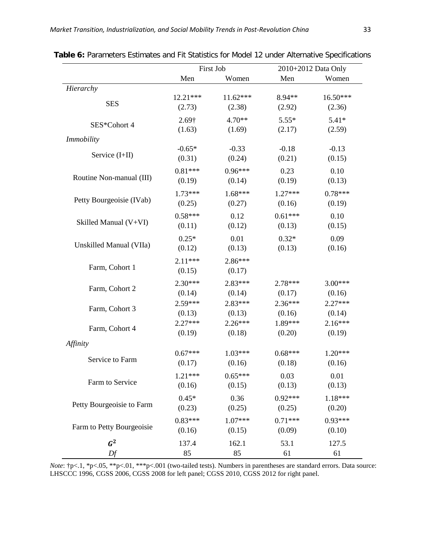|                                                                                                                               |            | First Job         | 2010+2012 Data Only |           |  |
|-------------------------------------------------------------------------------------------------------------------------------|------------|-------------------|---------------------|-----------|--|
|                                                                                                                               | Men        | Women             | Men                 | Women     |  |
| Hierarchy                                                                                                                     |            |                   |                     |           |  |
| <b>SES</b>                                                                                                                    | $12.21***$ | $11.62***$        | 8.94**              | 16.50***  |  |
|                                                                                                                               | (2.73)     | (2.38)            | (2.92)              | (2.36)    |  |
| SES*Cohort 4                                                                                                                  | 2.69†      | $4.70**$          | $5.55*$             | $5.41*$   |  |
|                                                                                                                               | (1.63)     | (1.69)            | (2.17)              | (2.59)    |  |
| <b>Immobility</b>                                                                                                             | $-0.65*$   |                   | $-0.18$             | $-0.13$   |  |
| Service (I+II)                                                                                                                | (0.31)     | $-0.33$<br>(0.24) | (0.21)              | (0.15)    |  |
|                                                                                                                               |            |                   |                     |           |  |
|                                                                                                                               | $0.81***$  | $0.96***$         | 0.23                | 0.10      |  |
| Skilled Manual (V+VI)                                                                                                         | (0.19)     | (0.14)            | (0.19)              | (0.13)    |  |
| Unskilled Manual (VIIa)<br>Farm, Cohort 1                                                                                     | $1.73***$  | $1.68***$         | $1.27***$           | $0.78***$ |  |
|                                                                                                                               | (0.25)     | (0.27)            | (0.16)              | (0.19)    |  |
|                                                                                                                               | $0.58***$  | 0.12              | $0.61***$           | 0.10      |  |
|                                                                                                                               | (0.11)     | (0.12)            | (0.13)              | (0.15)    |  |
|                                                                                                                               | $0.25*$    | 0.01              | $0.32*$             | 0.09      |  |
|                                                                                                                               | (0.12)     | (0.13)            | (0.13)              | (0.16)    |  |
|                                                                                                                               | $2.11***$  | $2.86***$         |                     |           |  |
|                                                                                                                               | (0.15)     | (0.17)            |                     |           |  |
|                                                                                                                               | $2.30***$  | $2.83***$         | $2.78***$           | $3.00***$ |  |
|                                                                                                                               | (0.14)     | (0.14)            | (0.17)              | (0.16)    |  |
| Routine Non-manual (III)<br>Petty Bourgeoisie (IVab)<br>Farm, Cohort 2<br>Farm, Cohort 3<br>Farm, Cohort 4<br>Service to Farm | $2.59***$  | $2.83***$         | $2.36***$           | $2.27***$ |  |
|                                                                                                                               | (0.13)     | (0.13)            | (0.16)              | (0.14)    |  |
|                                                                                                                               | $2.27***$  | $2.26***$         | 1.89***             | $2.16***$ |  |
|                                                                                                                               | (0.19)     | (0.18)            | (0.20)              | (0.19)    |  |
| Affinity                                                                                                                      |            |                   |                     |           |  |
|                                                                                                                               | $0.67***$  | $1.03***$         | $0.68***$           | $1.20***$ |  |
|                                                                                                                               | (0.17)     | (0.16)            | (0.18)              | (0.16)    |  |
|                                                                                                                               | $1.21***$  | $0.65***$         | 0.03                | 0.01      |  |
| Farm to Service                                                                                                               | (0.16)     | (0.15)            | (0.13)              | (0.13)    |  |
|                                                                                                                               | $0.45*$    | 0.36              | $0.92***$           | 1.18***   |  |
| Petty Bourgeoisie to Farm                                                                                                     | (0.23)     | (0.25)            | (0.25)              | (0.20)    |  |
|                                                                                                                               | $0.83***$  | $1.07***$         | $0.71***$           | $0.93***$ |  |
| Farm to Petty Bourgeoisie                                                                                                     | (0.16)     | (0.15)            | (0.09)              | (0.10)    |  |
| $G^2$                                                                                                                         | 137.4      | 162.1             | 53.1                | 127.5     |  |
| Df                                                                                                                            | 85         | 85                | 61                  | 61        |  |

**Table 6:** Parameters Estimates and Fit Statistics for Model 12 under Alternative Specifications

*Note*:  $\uparrow p < 1$ ,  $\uparrow p < 05$ ,  $\uparrow \uparrow p < 01$ ,  $\uparrow \uparrow \uparrow p < 001$  (two-tailed tests). Numbers in parentheses are standard errors. Data source: LHSCCC 1996, CGSS 2006, CGSS 2008 for left panel; CGSS 2010, CGSS 2012 for right panel.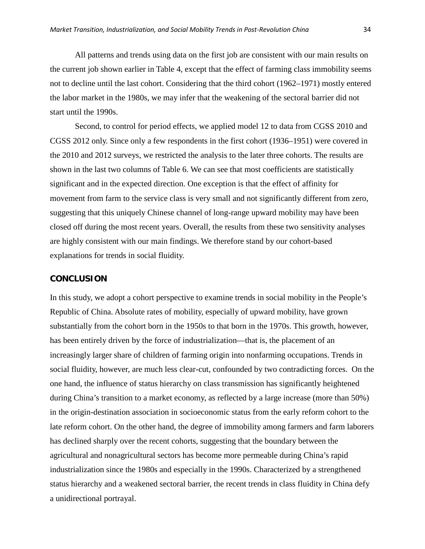All patterns and trends using data on the first job are consistent with our main results on the current job shown earlier in Table 4, except that the effect of farming class immobility seems not to decline until the last cohort. Considering that the third cohort (1962–1971) mostly entered the labor market in the 1980s, we may infer that the weakening of the sectoral barrier did not start until the 1990s.

Second, to control for period effects, we applied model 12 to data from CGSS 2010 and CGSS 2012 only. Since only a few respondents in the first cohort (1936–1951) were covered in the 2010 and 2012 surveys, we restricted the analysis to the later three cohorts. The results are shown in the last two columns of Table 6. We can see that most coefficients are statistically significant and in the expected direction. One exception is that the effect of affinity for movement from farm to the service class is very small and not significantly different from zero, suggesting that this uniquely Chinese channel of long-range upward mobility may have been closed off during the most recent years. Overall, the results from these two sensitivity analyses are highly consistent with our main findings. We therefore stand by our cohort-based explanations for trends in social fluidity.

## **CONCLUSION**

In this study, we adopt a cohort perspective to examine trends in social mobility in the People's Republic of China. Absolute rates of mobility, especially of upward mobility, have grown substantially from the cohort born in the 1950s to that born in the 1970s. This growth, however, has been entirely driven by the force of industrialization—that is, the placement of an increasingly larger share of children of farming origin into nonfarming occupations. Trends in social fluidity, however, are much less clear-cut, confounded by two contradicting forces. On the one hand, the influence of status hierarchy on class transmission has significantly heightened during China's transition to a market economy, as reflected by a large increase (more than 50%) in the origin-destination association in socioeconomic status from the early reform cohort to the late reform cohort. On the other hand, the degree of immobility among farmers and farm laborers has declined sharply over the recent cohorts, suggesting that the boundary between the agricultural and nonagricultural sectors has become more permeable during China's rapid industrialization since the 1980s and especially in the 1990s. Characterized by a strengthened status hierarchy and a weakened sectoral barrier, the recent trends in class fluidity in China defy a unidirectional portrayal.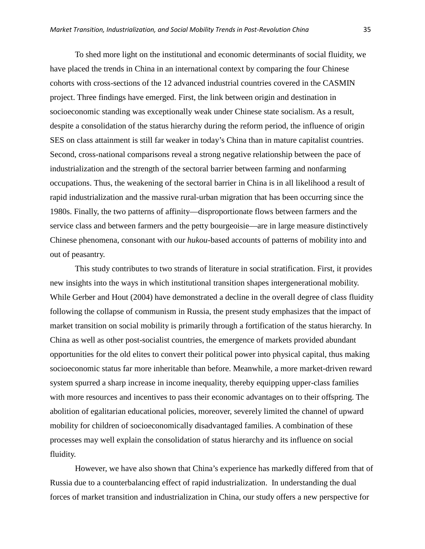To shed more light on the institutional and economic determinants of social fluidity, we have placed the trends in China in an international context by comparing the four Chinese cohorts with cross-sections of the 12 advanced industrial countries covered in the CASMIN project. Three findings have emerged. First, the link between origin and destination in socioeconomic standing was exceptionally weak under Chinese state socialism. As a result, despite a consolidation of the status hierarchy during the reform period, the influence of origin SES on class attainment is still far weaker in today's China than in mature capitalist countries. Second, cross-national comparisons reveal a strong negative relationship between the pace of industrialization and the strength of the sectoral barrier between farming and nonfarming occupations. Thus, the weakening of the sectoral barrier in China is in all likelihood a result of rapid industrialization and the massive rural-urban migration that has been occurring since the 1980s. Finally, the two patterns of affinity—disproportionate flows between farmers and the service class and between farmers and the petty bourgeoisie—are in large measure distinctively Chinese phenomena, consonant with our *hukou*-based accounts of patterns of mobility into and out of peasantry.

This study contributes to two strands of literature in social stratification. First, it provides new insights into the ways in which institutional transition shapes intergenerational mobility. While Gerber and Hout (2004) have demonstrated a decline in the overall degree of class fluidity following the collapse of communism in Russia, the present study emphasizes that the impact of market transition on social mobility is primarily through a fortification of the status hierarchy. In China as well as other post-socialist countries, the emergence of markets provided abundant opportunities for the old elites to convert their political power into physical capital, thus making socioeconomic status far more inheritable than before. Meanwhile, a more market-driven reward system spurred a sharp increase in income inequality, thereby equipping upper-class families with more resources and incentives to pass their economic advantages on to their offspring. The abolition of egalitarian educational policies, moreover, severely limited the channel of upward mobility for children of socioeconomically disadvantaged families. A combination of these processes may well explain the consolidation of status hierarchy and its influence on social fluidity.

However, we have also shown that China's experience has markedly differed from that of Russia due to a counterbalancing effect of rapid industrialization. In understanding the dual forces of market transition and industrialization in China, our study offers a new perspective for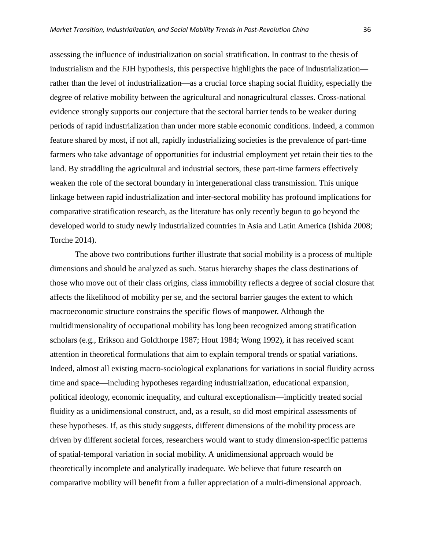assessing the influence of industrialization on social stratification. In contrast to the thesis of industrialism and the FJH hypothesis, this perspective highlights the pace of industrialization rather than the level of industrialization—as a crucial force shaping social fluidity, especially the degree of relative mobility between the agricultural and nonagricultural classes. Cross-national evidence strongly supports our conjecture that the sectoral barrier tends to be weaker during periods of rapid industrialization than under more stable economic conditions. Indeed, a common feature shared by most, if not all, rapidly industrializing societies is the prevalence of part-time farmers who take advantage of opportunities for industrial employment yet retain their ties to the land. By straddling the agricultural and industrial sectors, these part-time farmers effectively weaken the role of the sectoral boundary in intergenerational class transmission. This unique linkage between rapid industrialization and inter-sectoral mobility has profound implications for comparative stratification research, as the literature has only recently begun to go beyond the developed world to study newly industrialized countries in Asia and Latin America (Ishida 2008; Torche 2014).

The above two contributions further illustrate that social mobility is a process of multiple dimensions and should be analyzed as such. Status hierarchy shapes the class destinations of those who move out of their class origins, class immobility reflects a degree of social closure that affects the likelihood of mobility per se, and the sectoral barrier gauges the extent to which macroeconomic structure constrains the specific flows of manpower. Although the multidimensionality of occupational mobility has long been recognized among stratification scholars (e.g., Erikson and Goldthorpe 1987; Hout 1984; Wong 1992), it has received scant attention in theoretical formulations that aim to explain temporal trends or spatial variations. Indeed, almost all existing macro-sociological explanations for variations in social fluidity across time and space—including hypotheses regarding industrialization, educational expansion, political ideology, economic inequality, and cultural exceptionalism—implicitly treated social fluidity as a unidimensional construct, and, as a result, so did most empirical assessments of these hypotheses. If, as this study suggests, different dimensions of the mobility process are driven by different societal forces, researchers would want to study dimension-specific patterns of spatial-temporal variation in social mobility. A unidimensional approach would be theoretically incomplete and analytically inadequate. We believe that future research on comparative mobility will benefit from a fuller appreciation of a multi-dimensional approach.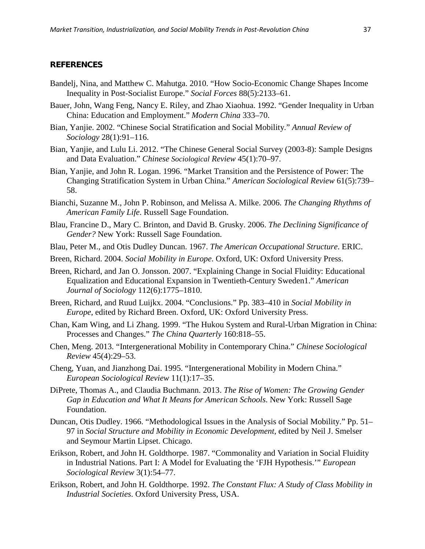## **REFERENCES**

- Bandelj, Nina, and Matthew C. Mahutga. 2010. "How Socio-Economic Change Shapes Income Inequality in Post-Socialist Europe." *Social Forces* 88(5):2133–61.
- Bauer, John, Wang Feng, Nancy E. Riley, and Zhao Xiaohua. 1992. "Gender Inequality in Urban China: Education and Employment." *Modern China* 333–70.
- Bian, Yanjie. 2002. "Chinese Social Stratification and Social Mobility." *Annual Review of Sociology* 28(1):91–116.
- Bian, Yanjie, and Lulu Li. 2012. "The Chinese General Social Survey (2003-8): Sample Designs and Data Evaluation." *Chinese Sociological Review* 45(1):70–97.
- Bian, Yanjie, and John R. Logan. 1996. "Market Transition and the Persistence of Power: The Changing Stratification System in Urban China." *American Sociological Review* 61(5):739– 58.
- Bianchi, Suzanne M., John P. Robinson, and Melissa A. Milke. 2006. *The Changing Rhythms of American Family Life*. Russell Sage Foundation.
- Blau, Francine D., Mary C. Brinton, and David B. Grusky. 2006. *The Declining Significance of Gender?* New York: Russell Sage Foundation.
- Blau, Peter M., and Otis Dudley Duncan. 1967. *The American Occupational Structure*. ERIC.
- Breen, Richard. 2004. *Social Mobility in Europe*. Oxford, UK: Oxford University Press.
- Breen, Richard, and Jan O. Jonsson. 2007. "Explaining Change in Social Fluidity: Educational Equalization and Educational Expansion in Twentieth-Century Sweden1." *American Journal of Sociology* 112(6):1775–1810.
- Breen, Richard, and Ruud Luijkx. 2004. "Conclusions." Pp. 383–410 in *Social Mobility in Europe*, edited by Richard Breen. Oxford, UK: Oxford University Press.
- Chan, Kam Wing, and Li Zhang. 1999. "The Hukou System and Rural-Urban Migration in China: Processes and Changes." *The China Quarterly* 160:818–55.
- Chen, Meng. 2013. "Intergenerational Mobility in Contemporary China." *Chinese Sociological Review* 45(4):29–53.
- Cheng, Yuan, and Jianzhong Dai. 1995. "Intergenerational Mobility in Modern China." *European Sociological Review* 11(1):17–35.
- DiPrete, Thomas A., and Claudia Buchmann. 2013. *The Rise of Women: The Growing Gender Gap in Education and What It Means for American Schools*. New York: Russell Sage Foundation.
- Duncan, Otis Dudley. 1966. "Methodological Issues in the Analysis of Social Mobility." Pp. 51– 97 in *Social Structure and Mobility in Economic Development*, edited by Neil J. Smelser and Seymour Martin Lipset. Chicago.
- Erikson, Robert, and John H. Goldthorpe. 1987. "Commonality and Variation in Social Fluidity in Industrial Nations. Part I: A Model for Evaluating the 'FJH Hypothesis.'" *European Sociological Review* 3(1):54–77.
- Erikson, Robert, and John H. Goldthorpe. 1992. *The Constant Flux: A Study of Class Mobility in Industrial Societies*. Oxford University Press, USA.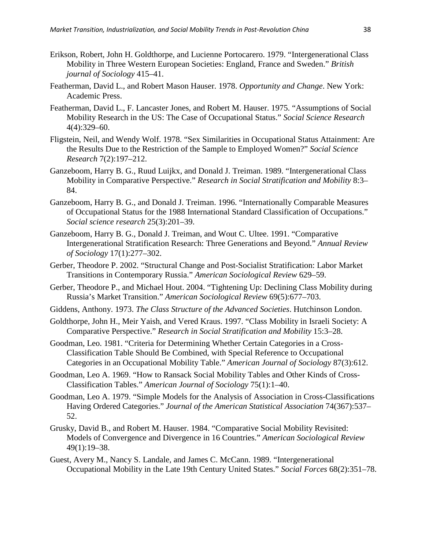- Erikson, Robert, John H. Goldthorpe, and Lucienne Portocarero. 1979. "Intergenerational Class Mobility in Three Western European Societies: England, France and Sweden." *British journal of Sociology* 415–41.
- Featherman, David L., and Robert Mason Hauser. 1978. *Opportunity and Change*. New York: Academic Press.
- Featherman, David L., F. Lancaster Jones, and Robert M. Hauser. 1975. "Assumptions of Social Mobility Research in the US: The Case of Occupational Status." *Social Science Research* 4(4):329–60.
- Fligstein, Neil, and Wendy Wolf. 1978. "Sex Similarities in Occupational Status Attainment: Are the Results Due to the Restriction of the Sample to Employed Women?" *Social Science Research* 7(2):197–212.
- Ganzeboom, Harry B. G., Ruud Luijkx, and Donald J. Treiman. 1989. "Intergenerational Class Mobility in Comparative Perspective." *Research in Social Stratification and Mobility* 8:3– 84.
- Ganzeboom, Harry B. G., and Donald J. Treiman. 1996. "Internationally Comparable Measures of Occupational Status for the 1988 International Standard Classification of Occupations." *Social science research* 25(3):201–39.
- Ganzeboom, Harry B. G., Donald J. Treiman, and Wout C. Ultee. 1991. "Comparative Intergenerational Stratification Research: Three Generations and Beyond." *Annual Review of Sociology* 17(1):277–302.
- Gerber, Theodore P. 2002. "Structural Change and Post-Socialist Stratification: Labor Market Transitions in Contemporary Russia." *American Sociological Review* 629–59.
- Gerber, Theodore P., and Michael Hout. 2004. "Tightening Up: Declining Class Mobility during Russia's Market Transition." *American Sociological Review* 69(5):677–703.
- Giddens, Anthony. 1973. *The Class Structure of the Advanced Societies*. Hutchinson London.
- Goldthorpe, John H., Meir Yaish, and Vered Kraus. 1997. "Class Mobility in Israeli Society: A Comparative Perspective." *Research in Social Stratification and Mobility* 15:3–28.
- Goodman, Leo. 1981. "Criteria for Determining Whether Certain Categories in a Cross-Classification Table Should Be Combined, with Special Reference to Occupational Categories in an Occupational Mobility Table." *American Journal of Sociology* 87(3):612.
- Goodman, Leo A. 1969. "How to Ransack Social Mobility Tables and Other Kinds of Cross-Classification Tables." *American Journal of Sociology* 75(1):1–40.
- Goodman, Leo A. 1979. "Simple Models for the Analysis of Association in Cross-Classifications Having Ordered Categories." *Journal of the American Statistical Association* 74(367):537– 52.
- Grusky, David B., and Robert M. Hauser. 1984. "Comparative Social Mobility Revisited: Models of Convergence and Divergence in 16 Countries." *American Sociological Review* 49(1):19–38.
- Guest, Avery M., Nancy S. Landale, and James C. McCann. 1989. "Intergenerational Occupational Mobility in the Late 19th Century United States." *Social Forces* 68(2):351–78.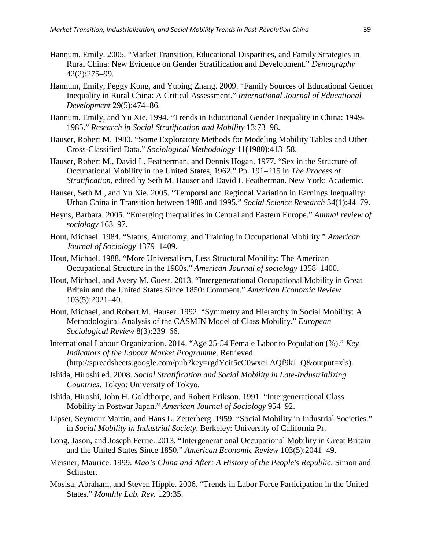- Hannum, Emily. 2005. "Market Transition, Educational Disparities, and Family Strategies in Rural China: New Evidence on Gender Stratification and Development." *Demography* 42(2):275–99.
- Hannum, Emily, Peggy Kong, and Yuping Zhang. 2009. "Family Sources of Educational Gender Inequality in Rural China: A Critical Assessment." *International Journal of Educational Development* 29(5):474–86.
- Hannum, Emily, and Yu Xie. 1994. "Trends in Educational Gender Inequality in China: 1949- 1985." *Research in Social Stratification and Mobility* 13:73–98.
- Hauser, Robert M. 1980. "Some Exploratory Methods for Modeling Mobility Tables and Other Cross-Classified Data." *Sociological Methodology* 11(1980):413–58.
- Hauser, Robert M., David L. Featherman, and Dennis Hogan. 1977. "Sex in the Structure of Occupational Mobility in the United States, 1962." Pp. 191–215 in *The Process of Stratification*, edited by Seth M. Hauser and David L Featherman. New York: Academic.
- Hauser, Seth M., and Yu Xie. 2005. "Temporal and Regional Variation in Earnings Inequality: Urban China in Transition between 1988 and 1995." *Social Science Research* 34(1):44–79.
- Heyns, Barbara. 2005. "Emerging Inequalities in Central and Eastern Europe." *Annual review of sociology* 163–97.
- Hout, Michael. 1984. "Status, Autonomy, and Training in Occupational Mobility." *American Journal of Sociology* 1379–1409.
- Hout, Michael. 1988. "More Universalism, Less Structural Mobility: The American Occupational Structure in the 1980s." *American Journal of sociology* 1358–1400.
- Hout, Michael, and Avery M. Guest. 2013. "Intergenerational Occupational Mobility in Great Britain and the United States Since 1850: Comment." *American Economic Review* 103(5):2021–40.
- Hout, Michael, and Robert M. Hauser. 1992. "Symmetry and Hierarchy in Social Mobility: A Methodological Analysis of the CASMIN Model of Class Mobility." *European Sociological Review* 8(3):239–66.
- International Labour Organization. 2014. "Age 25-54 Female Labor to Population (%)." *Key Indicators of the Labour Market Programme*. Retrieved (http://spreadsheets.google.com/pub?key=rgdYcit5cC0wxcLAQf9kJ\_Q&output=xls).
- Ishida, Hiroshi ed. 2008. *Social Stratification and Social Mobility in Late-Industrializing Countries*. Tokyo: University of Tokyo.
- Ishida, Hiroshi, John H. Goldthorpe, and Robert Erikson. 1991. "Intergenerational Class Mobility in Postwar Japan." *American Journal of Sociology* 954–92.
- Lipset, Seymour Martin, and Hans L. Zetterberg. 1959. "Social Mobility in Industrial Societies." in *Social Mobility in Industrial Society*. Berkeley: University of California Pr.
- Long, Jason, and Joseph Ferrie. 2013. "Intergenerational Occupational Mobility in Great Britain and the United States Since 1850." *American Economic Review* 103(5):2041–49.
- Meisner, Maurice. 1999. *Mao's China and After: A History of the People's Republic*. Simon and Schuster.
- Mosisa, Abraham, and Steven Hipple. 2006. "Trends in Labor Force Participation in the United States." *Monthly Lab. Rev.* 129:35.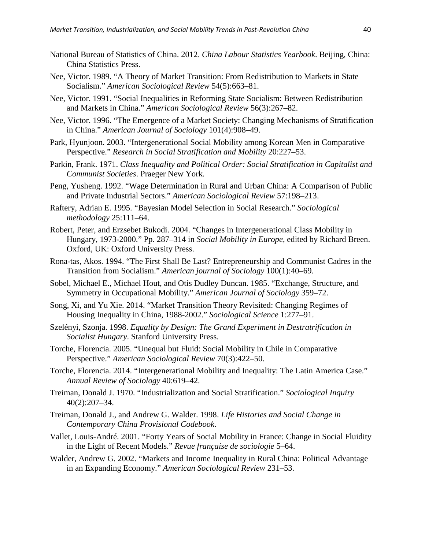- National Bureau of Statistics of China. 2012. *China Labour Statistics Yearbook*. Beijing, China: China Statistics Press.
- Nee, Victor. 1989. "A Theory of Market Transition: From Redistribution to Markets in State Socialism." *American Sociological Review* 54(5):663–81.
- Nee, Victor. 1991. "Social Inequalities in Reforming State Socialism: Between Redistribution and Markets in China." *American Sociological Review* 56(3):267–82.
- Nee, Victor. 1996. "The Emergence of a Market Society: Changing Mechanisms of Stratification in China." *American Journal of Sociology* 101(4):908–49.
- Park, Hyunjoon. 2003. "Intergenerational Social Mobility among Korean Men in Comparative Perspective." *Research in Social Stratification and Mobility* 20:227–53.
- Parkin, Frank. 1971. *Class Inequality and Political Order: Social Stratification in Capitalist and Communist Societies*. Praeger New York.
- Peng, Yusheng. 1992. "Wage Determination in Rural and Urban China: A Comparison of Public and Private Industrial Sectors." *American Sociological Review* 57:198–213.
- Raftery, Adrian E. 1995. "Bayesian Model Selection in Social Research." *Sociological methodology* 25:111–64.
- Robert, Peter, and Erzsebet Bukodi. 2004. "Changes in Intergenerational Class Mobility in Hungary, 1973-2000." Pp. 287–314 in *Social Mobility in Europe*, edited by Richard Breen. Oxford, UK: Oxford University Press.
- Rona-tas, Akos. 1994. "The First Shall Be Last? Entrepreneurship and Communist Cadres in the Transition from Socialism." *American journal of Sociology* 100(1):40–69.
- Sobel, Michael E., Michael Hout, and Otis Dudley Duncan. 1985. "Exchange, Structure, and Symmetry in Occupational Mobility." *American Journal of Sociology* 359–72.
- Song, Xi, and Yu Xie. 2014. "Market Transition Theory Revisited: Changing Regimes of Housing Inequality in China, 1988-2002." *Sociological Science* 1:277–91.
- Szelényi, Szonja. 1998. *Equality by Design: The Grand Experiment in Destratrification in Socialist Hungary*. Stanford University Press.
- Torche, Florencia. 2005. "Unequal but Fluid: Social Mobility in Chile in Comparative Perspective." *American Sociological Review* 70(3):422–50.
- Torche, Florencia. 2014. "Intergenerational Mobility and Inequality: The Latin America Case." *Annual Review of Sociology* 40:619–42.
- Treiman, Donald J. 1970. "Industrialization and Social Stratification." *Sociological Inquiry* 40(2):207–34.
- Treiman, Donald J., and Andrew G. Walder. 1998. *Life Histories and Social Change in Contemporary China Provisional Codebook*.
- Vallet, Louis-André. 2001. "Forty Years of Social Mobility in France: Change in Social Fluidity in the Light of Recent Models." *Revue française de sociologie* 5–64.
- Walder, Andrew G. 2002. "Markets and Income Inequality in Rural China: Political Advantage in an Expanding Economy." *American Sociological Review* 231–53.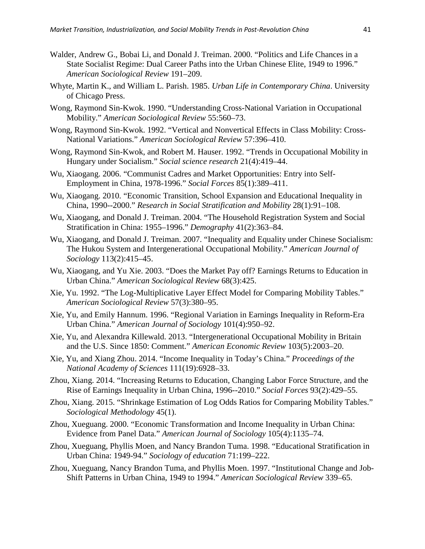- Walder, Andrew G., Bobai Li, and Donald J. Treiman. 2000. "Politics and Life Chances in a State Socialist Regime: Dual Career Paths into the Urban Chinese Elite, 1949 to 1996." *American Sociological Review* 191–209.
- Whyte, Martin K., and William L. Parish. 1985. *Urban Life in Contemporary China*. University of Chicago Press.
- Wong, Raymond Sin-Kwok. 1990. "Understanding Cross-National Variation in Occupational Mobility." *American Sociological Review* 55:560–73.
- Wong, Raymond Sin-Kwok. 1992. "Vertical and Nonvertical Effects in Class Mobility: Cross-National Variations." *American Sociological Review* 57:396–410.
- Wong, Raymond Sin-Kwok, and Robert M. Hauser. 1992. "Trends in Occupational Mobility in Hungary under Socialism." *Social science research* 21(4):419–44.
- Wu, Xiaogang. 2006. "Communist Cadres and Market Opportunities: Entry into Self-Employment in China, 1978-1996." *Social Forces* 85(1):389–411.
- Wu, Xiaogang. 2010. "Economic Transition, School Expansion and Educational Inequality in China, 1990--2000." *Research in Social Stratification and Mobility* 28(1):91–108.
- Wu, Xiaogang, and Donald J. Treiman. 2004. "The Household Registration System and Social Stratification in China: 1955–1996." *Demography* 41(2):363–84.
- Wu, Xiaogang, and Donald J. Treiman. 2007. "Inequality and Equality under Chinese Socialism: The Hukou System and Intergenerational Occupational Mobility." *American Journal of Sociology* 113(2):415–45.
- Wu, Xiaogang, and Yu Xie. 2003. "Does the Market Pay off? Earnings Returns to Education in Urban China." *American Sociological Review* 68(3):425.
- Xie, Yu. 1992. "The Log-Multiplicative Layer Effect Model for Comparing Mobility Tables." *American Sociological Review* 57(3):380–95.
- Xie, Yu, and Emily Hannum. 1996. "Regional Variation in Earnings Inequality in Reform-Era Urban China." *American Journal of Sociology* 101(4):950–92.
- Xie, Yu, and Alexandra Killewald. 2013. "Intergenerational Occupational Mobility in Britain and the U.S. Since 1850: Comment." *American Economic Review* 103(5):2003–20.
- Xie, Yu, and Xiang Zhou. 2014. "Income Inequality in Today's China." *Proceedings of the National Academy of Sciences* 111(19):6928–33.
- Zhou, Xiang. 2014. "Increasing Returns to Education, Changing Labor Force Structure, and the Rise of Earnings Inequality in Urban China, 1996--2010." *Social Forces* 93(2):429–55.
- Zhou, Xiang. 2015. "Shrinkage Estimation of Log Odds Ratios for Comparing Mobility Tables." *Sociological Methodology* 45(1).
- Zhou, Xueguang. 2000. "Economic Transformation and Income Inequality in Urban China: Evidence from Panel Data." *American Journal of Sociology* 105(4):1135–74.
- Zhou, Xueguang, Phyllis Moen, and Nancy Brandon Tuma. 1998. "Educational Stratification in Urban China: 1949-94." *Sociology of education* 71:199–222.
- Zhou, Xueguang, Nancy Brandon Tuma, and Phyllis Moen. 1997. "Institutional Change and Job-Shift Patterns in Urban China, 1949 to 1994." *American Sociological Review* 339–65.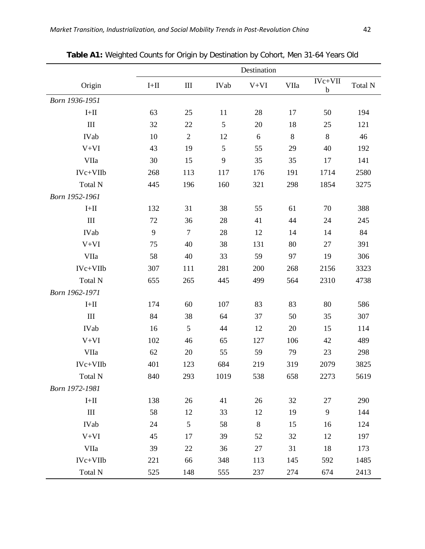|                             |               |                |             | Destination |      |                          |         |
|-----------------------------|---------------|----------------|-------------|-------------|------|--------------------------|---------|
| Origin                      | $\text{I+II}$ | Ш              | <b>IVab</b> | $V+VI$      | VIIa | $IVc+VII$<br>$\mathbf b$ | Total N |
| Born 1936-1951              |               |                |             |             |      |                          |         |
| $I+II$                      | 63            | 25             | 11          | 28          | 17   | 50                       | 194     |
| $\mathop{\rm III}$          | 32            | 22             | 5           | 20          | 18   | 25                       | 121     |
| IVab                        | 10            | $\overline{2}$ | 12          | 6           | 8    | 8                        | 46      |
| $V+VI$                      | 43            | 19             | 5           | 55          | 29   | 40                       | 192     |
| VIIa                        | 30            | 15             | 9           | 35          | 35   | 17                       | 141     |
| IVc+VIIb                    | 268           | 113            | 117         | 176         | 191  | 1714                     | 2580    |
| Total N                     | 445           | 196            | 160         | 321         | 298  | 1854                     | 3275    |
| Born 1952-1961              |               |                |             |             |      |                          |         |
| $I+II$                      | 132           | 31             | 38          | 55          | 61   | 70                       | 388     |
| $\mathop{\rm III}\nolimits$ | 72            | 36             | 28          | 41          | 44   | 24                       | 245     |
| IVab                        | 9             | $\tau$         | 28          | 12          | 14   | 14                       | 84      |
| $V+VI$                      | 75            | 40             | 38          | 131         | 80   | 27                       | 391     |
| VIIa                        | 58            | 40             | 33          | 59          | 97   | 19                       | 306     |
| IVc+VIIb                    | 307           | 111            | 281         | 200         | 268  | 2156                     | 3323    |
| Total N                     | 655           | 265            | 445         | 499         | 564  | 2310                     | 4738    |
| Born 1962-1971              |               |                |             |             |      |                          |         |
| $\text{I+II}$               | 174           | 60             | 107         | 83          | 83   | 80                       | 586     |
| $\mathop{\rm III}$          | 84            | 38             | 64          | 37          | 50   | 35                       | 307     |
| IVab                        | 16            | 5              | 44          | 12          | 20   | 15                       | 114     |
| $V+VI$                      | 102           | 46             | 65          | 127         | 106  | 42                       | 489     |
| VIIa                        | 62            | 20             | 55          | 59          | 79   | 23                       | 298     |
| IVc+VIIb                    | 401           | 123            | 684         | 219         | 319  | 2079                     | 3825    |
| Total N                     | 840           | 293            | 1019        | 538         | 658  | 2273                     | 5619    |
| Born 1972-1981              |               |                |             |             |      |                          |         |
| $I+II$                      | 138           | 26             | 41          | 26          | 32   | 27                       | 290     |
| Ш                           | 58            | 12             | 33          | 12          | 19   | 9                        | 144     |
| IVab                        | 24            | 5              | 58          | $8\,$       | 15   | 16                       | 124     |
| $V+VI$                      | 45            | 17             | 39          | 52          | 32   | 12                       | 197     |
| VIIa                        | 39            | 22             | 36          | 27          | 31   | 18                       | 173     |
| IVc+VIIb                    | 221           | 66             | 348         | 113         | 145  | 592                      | 1485    |
| Total N                     | 525           | 148            | 555         | 237         | 274  | 674                      | 2413    |

**Table A1:** Weighted Counts for Origin by Destination by Cohort, Men 31-64 Years Old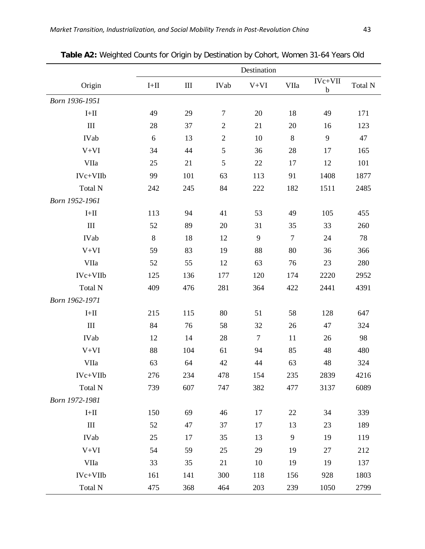|                             |               |           |            | Destination    |        |                          |         |
|-----------------------------|---------------|-----------|------------|----------------|--------|--------------------------|---------|
| Origin                      | $\text{I+II}$ | $\rm III$ | IVab       | $V+VI$         | VIIa   | $IVc+VII$<br>$\mathbf b$ | Total N |
| Born 1936-1951              |               |           |            |                |        |                          |         |
| $\text{I+II}$               | 49            | 29        | $\tau$     | 20             | 18     | 49                       | 171     |
| III                         | 28            | 37        | $\sqrt{2}$ | 21             | 20     | 16                       | 123     |
| IVab                        | 6             | 13        | $\sqrt{2}$ | 10             | 8      | 9                        | 47      |
| $V+VI$                      | 34            | 44        | 5          | 36             | 28     | 17                       | 165     |
| VIIa                        | 25            | 21        | 5          | 22             | 17     | 12                       | 101     |
| IVc+VIIb                    | 99            | 101       | 63         | 113            | 91     | 1408                     | 1877    |
| Total N                     | 242           | 245       | 84         | 222            | 182    | 1511                     | 2485    |
| Born 1952-1961              |               |           |            |                |        |                          |         |
| $\text{I+II}$               | 113           | 94        | 41         | 53             | 49     | 105                      | 455     |
| III                         | 52            | 89        | 20         | 31             | 35     | 33                       | 260     |
| <b>IVab</b>                 | 8             | 18        | 12         | 9              | $\tau$ | 24                       | 78      |
| $V+VI$                      | 59            | 83        | 19         | 88             | 80     | 36                       | 366     |
| VIIa                        | 52            | 55        | 12         | 63             | 76     | 23                       | 280     |
| IVc+VIIb                    | 125           | 136       | 177        | 120            | 174    | 2220                     | 2952    |
| Total N                     | 409           | 476       | 281        | 364            | 422    | 2441                     | 4391    |
| Born 1962-1971              |               |           |            |                |        |                          |         |
| $\text{I+II}$               | 215           | 115       | 80         | 51             | 58     | 128                      | 647     |
| III                         | 84            | 76        | 58         | 32             | 26     | 47                       | 324     |
| IVab                        | 12            | 14        | 28         | $\overline{7}$ | 11     | 26                       | 98      |
| $V+VI$                      | 88            | 104       | 61         | 94             | 85     | 48                       | 480     |
| VIIa                        | 63            | 64        | 42         | 44             | 63     | 48                       | 324     |
| IVc+VIIb                    | 276           | 234       | 478        | 154            | 235    | 2839                     | 4216    |
| Total N                     | 739           | 607       | 747        | 382            | 477    | 3137                     | 6089    |
| Born 1972-1981              |               |           |            |                |        |                          |         |
| $\mbox{I+II}$               | 150           | 69        | 46         | 17             | 22     | 34                       | 339     |
| $\mathop{\rm III}\nolimits$ | 52            | 47        | 37         | 17             | 13     | 23                       | 189     |
| IVab                        | 25            | 17        | 35         | 13             | 9      | 19                       | 119     |
| $V+VI$                      | 54            | 59        | 25         | 29             | 19     | 27                       | 212     |
| VIIa                        | 33            | 35        | 21         | 10             | 19     | 19                       | 137     |
| IVc+VIIb                    | 161           | 141       | 300        | 118            | 156    | 928                      | 1803    |
| Total N                     | 475           | 368       | 464        | 203            | 239    | 1050                     | 2799    |

**Table A2:** Weighted Counts for Origin by Destination by Cohort, Women 31-64 Years Old